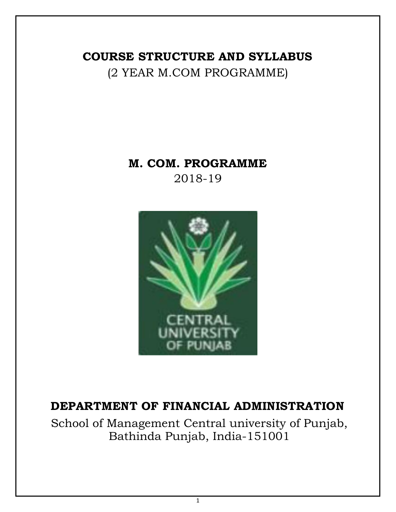# **COURSE STRUCTURE AND SYLLABUS** (2 YEAR M.COM PROGRAMME)

# **M. COM. PROGRAMME** 2018-19



# **DEPARTMENT OF FINANCIAL ADMINISTRATION**

School of Management Central university of Punjab, Bathinda Punjab, India-151001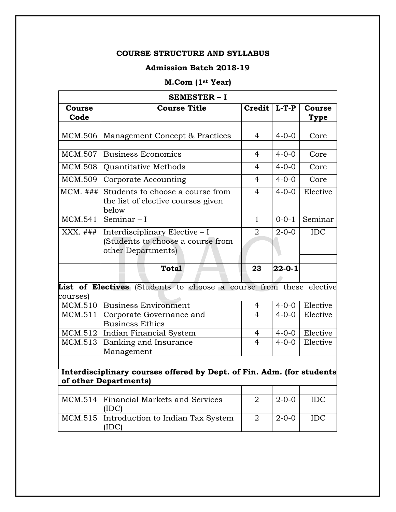# **Admission Batch 2018-19**

# **M.Com (1st Year)**

|                | <b>SEMESTER - I</b>                                                                       |                |              |                |
|----------------|-------------------------------------------------------------------------------------------|----------------|--------------|----------------|
| Course<br>Code | <b>Course Title</b>                                                                       | Credit         | $L-T-P$      | Course<br>Type |
|                |                                                                                           |                |              |                |
| <b>MCM.506</b> | Management Concept & Practices                                                            | 4              | $4 - 0 - 0$  | Core           |
| MCM.507        | <b>Business Economics</b>                                                                 | 4              | $4 - 0 - 0$  | Core           |
| MCM.508        | Quantitative Methods                                                                      | 4              | $4 - 0 - 0$  | Core           |
| MCM.509        | Corporate Accounting                                                                      | $\overline{4}$ | $4 - 0 - 0$  | Core           |
| $MCM.$ ###     | Students to choose a course from<br>the list of elective courses given<br>below           | $\overline{4}$ | $4 - 0 - 0$  | Elective       |
| MCM.541        | Seminar $-1$                                                                              | $\mathbf{1}$   | $0 - 0 - 1$  | Seminar        |
| $XXX.$ ###     | Interdisciplinary Elective - I<br>(Students to choose a course from<br>other Departments) | $\overline{2}$ | $2 - 0 - 0$  | <b>IDC</b>     |
|                | <b>Total</b>                                                                              | 23             | $22 - 0 - 1$ |                |
|                |                                                                                           |                |              |                |
| courses)       | List of Electives (Students to choose a course from these elective                        |                |              |                |
| MCM.510        | <b>Business Environment</b>                                                               | 4              | $4 - 0 - 0$  | Elective       |
| MCM.511        | Corporate Governance and<br><b>Business Ethics</b>                                        | $\overline{4}$ | $4 - 0 - 0$  | Elective       |
| MCM.512        | Indian Financial System                                                                   | 4              | $4 - 0 - 0$  | Elective       |
|                | Banking and Insurance                                                                     | $\overline{4}$ | $4 - 0 - 0$  | Elective       |

| MCM.514   Financial Markets and Services  | $2 - 0 - 0$ | IDC. |
|-------------------------------------------|-------------|------|
| MCM.515 Introduction to Indian Tax System | $2 - 0 - 0$ | IDC. |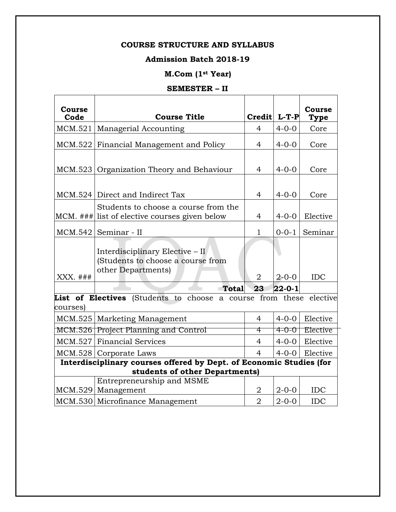# **Admission Batch 2018-19**

# **M.Com (1st Year)**

# **SEMESTER – II**

| <b>Course</b><br>Code | <b>Course Title</b>                                                                                        | Credit L-T-P         |                             | Course<br><b>Type</b> |
|-----------------------|------------------------------------------------------------------------------------------------------------|----------------------|-----------------------------|-----------------------|
| MCM.521               | Managerial Accounting                                                                                      | $\overline{4}$       | $4 - 0 - 0$                 | Core                  |
| MCM.522               | Financial Management and Policy                                                                            | 4                    | $4 - 0 - 0$                 | Core                  |
| MCM.523               | Organization Theory and Behaviour                                                                          | 4                    | $4 - 0 - 0$                 | Core                  |
|                       | MCM.524 Direct and Indirect Tax                                                                            | $\overline{4}$       | $4 - 0 - 0$                 | Core                  |
|                       | Students to choose a course from the<br>MCM. ### list of elective courses given below                      | 4                    | $4 - 0 - 0$                 | Elective              |
| MCM.542               | Seminar - II                                                                                               | $\mathbf{1}$         | $0 - 0 - 1$                 | Seminar               |
|                       | Interdisciplinary Elective - II<br>(Students to choose a course from<br>other Departments)                 |                      |                             |                       |
| XXX. ###              |                                                                                                            | $\overline{2}$       | $2 - 0 - 0$                 | <b>IDC</b>            |
| courses)<br>MCM.525   | <b>Total</b><br>List of Electives (Students to choose a course from these elective<br>Marketing Management | 23<br>$\overline{4}$ | $22 - 0 - 1$<br>$4 - 0 - 0$ | Elective              |
| MCM.526               | <b>Project Planning and Control</b>                                                                        | 4                    | $4 - 0 - 0$                 | Elective              |
| MCM.527               | <b>Financial Services</b>                                                                                  | $\overline{4}$       | $4 - 0 - 0$                 | Elective              |
|                       | MCM.528   Corporate Laws                                                                                   | $\overline{4}$       | $4 - 0 - 0$                 | Elective              |
|                       | Interdisciplinary courses offered by Dept. of Economic Studies (for                                        |                      |                             |                       |
|                       | students of other Departments)                                                                             |                      |                             |                       |
| MCM.529               | Entrepreneurship and MSME<br>Management                                                                    | 2                    | $2 - 0 - 0$                 | IDC                   |
|                       | MCM.530 Microfinance Management                                                                            | $\overline{2}$       | $2 - 0 - 0$                 | <b>IDC</b>            |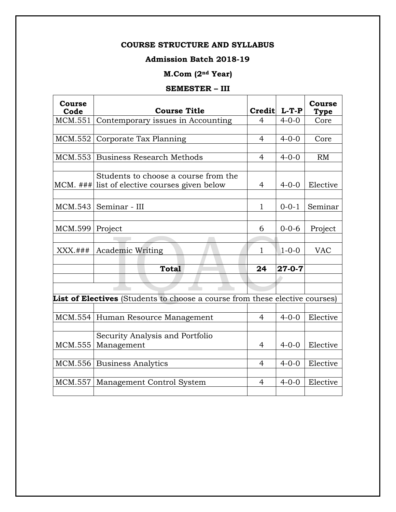# **Admission Batch 2018-19**

# **M.Com (2nd Year)**

# **SEMESTER – III**

| Course<br>Code    | <b>Course Title</b>                                                         |                | Credit L-T-P | Course<br><b>Type</b> |
|-------------------|-----------------------------------------------------------------------------|----------------|--------------|-----------------------|
| MCM.551           | Contemporary issues in Accounting                                           | 4              | $4 - 0 - 0$  | Core                  |
|                   |                                                                             |                |              |                       |
| MCM.552           | Corporate Tax Planning                                                      | 4              | $4 - 0 - 0$  | Core                  |
|                   |                                                                             |                |              |                       |
|                   | MCM.553 Business Research Methods                                           | 4              | $4 - 0 - 0$  | RM                    |
|                   |                                                                             |                |              |                       |
|                   | Students to choose a course from the                                        |                |              |                       |
|                   | MCM. ### list of elective courses given below                               | 4              | $4 - 0 - 0$  | Elective              |
|                   |                                                                             |                |              |                       |
|                   | MCM.543   Seminar - III                                                     | $\mathbf{1}$   | $0 - 0 - 1$  | Seminar               |
|                   |                                                                             |                |              |                       |
| $MCM.599$ Project |                                                                             | 6              | $0 - 0 - 6$  | Project               |
|                   |                                                                             |                |              |                       |
|                   |                                                                             |                |              |                       |
| $XXX.*$           | <b>Academic Writing</b>                                                     | $\mathbf{1}$   | $1 - 0 - 0$  | <b>VAC</b>            |
|                   | <b>Total</b>                                                                | 24             | $27 - 0 - 7$ |                       |
|                   |                                                                             |                |              |                       |
|                   |                                                                             |                |              |                       |
|                   |                                                                             |                |              |                       |
|                   | List of Electives (Students to choose a course from these elective courses) |                |              |                       |
|                   |                                                                             | $\overline{4}$ |              | Elective              |
|                   | MCM.554 Human Resource Management                                           |                | $4 - 0 - 0$  |                       |
|                   |                                                                             |                |              |                       |
| MCM.555           | Security Analysis and Portfolio<br>Management                               | 4              | $4 - 0 - 0$  | Elective              |
|                   |                                                                             |                |              |                       |
|                   | MCM.556 Business Analytics                                                  | 4              | $4 - 0 - 0$  | Elective              |
|                   |                                                                             |                |              |                       |
| MCM.557           | Management Control System                                                   | 4              | $4 - 0 - 0$  | Elective              |
|                   |                                                                             |                |              |                       |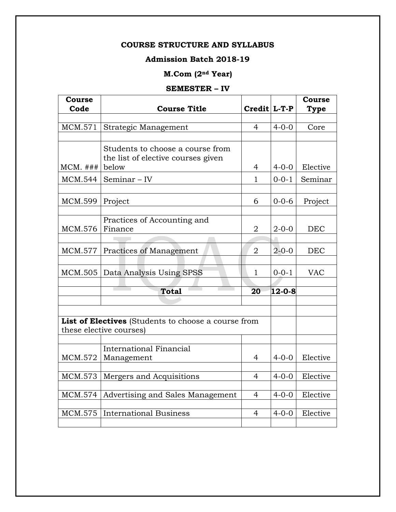# **Admission Batch 2018-19**

# **M.Com (2nd Year)**

# **SEMESTER – IV**

| <b>Course</b><br>Code | <b>Course Title</b>                                                            | Credit L-T-P   |              | Course<br><b>Type</b> |
|-----------------------|--------------------------------------------------------------------------------|----------------|--------------|-----------------------|
|                       |                                                                                |                |              |                       |
| MCM.571               | Strategic Management                                                           | 4              | $4 - 0 - 0$  | Core                  |
|                       |                                                                                |                |              |                       |
| $MCM.$ ###            | Students to choose a course from<br>the list of elective courses given         |                |              | Elective              |
|                       | below                                                                          | 4              | $4 - 0 - 0$  |                       |
| MCM.544               | Seminar - IV                                                                   | 1              | $0 - 0 - 1$  | Seminar               |
|                       |                                                                                |                |              |                       |
| MCM.599               | Project                                                                        | 6              | $0 - 0 - 6$  | Project               |
|                       |                                                                                |                |              |                       |
|                       | Practices of Accounting and                                                    |                |              |                       |
| <b>MCM.576</b>        | Finance                                                                        | $\overline{2}$ | $2 - 0 - 0$  | <b>DEC</b>            |
|                       |                                                                                |                |              |                       |
| MCM.577               | Practices of Management                                                        | $\overline{2}$ | $2 - 0 - 0$  | <b>DEC</b>            |
|                       |                                                                                |                |              |                       |
| MCM.505               | Data Analysis Using SPSS                                                       | $\mathbf{1}$   | $0 - 0 - 1$  | <b>VAC</b>            |
|                       |                                                                                |                |              |                       |
|                       | <b>Total</b>                                                                   | 20             | $12 - 0 - 8$ |                       |
|                       |                                                                                |                |              |                       |
|                       | List of Electives (Students to choose a course from<br>these elective courses) |                |              |                       |
|                       | International Financial                                                        |                |              |                       |
|                       |                                                                                | 4              | $4 - 0 - 0$  | Elective              |
| MCM.572               | Management                                                                     |                |              |                       |
| MCM.573               | Mergers and Acquisitions                                                       | 4              | $4 - 0 - 0$  | Elective              |
|                       |                                                                                |                |              |                       |
| MCM.574               | Advertising and Sales Management                                               | $\overline{4}$ | $4 - 0 - 0$  | Elective              |
|                       |                                                                                |                |              |                       |
| <b>MCM.575</b>        | <b>International Business</b>                                                  | $\overline{4}$ | $4 - 0 - 0$  | Elective              |
|                       |                                                                                |                |              |                       |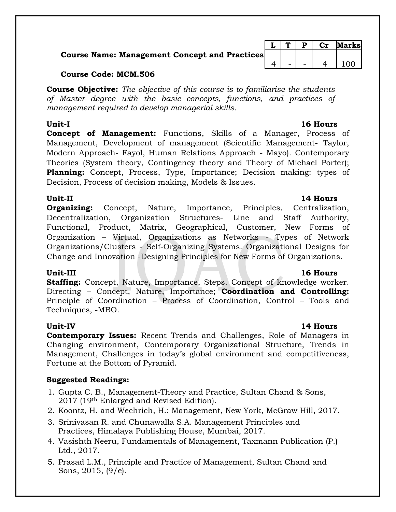# **Course Name: Management Concept and Practices**

# **Course Code: MCM.506**

**Course Objective:** *The objective of this course is to familiarise the students of Master degree with the basic concepts, functions, and practices of management required to develop managerial skills.*

**Concept of Management:** Functions, Skills of a Manager, Process of Management, Development of management (Scientific Management- Taylor, Modern Approach- Fayol, Human Relations Approach - Mayo). Contemporary Theories (System theory, Contingency theory and Theory of Michael Porter); **Planning:** Concept, Process, Type, Importance; Decision making: types of Decision, Process of decision making, Models & Issues.

# **Unit-II 14 Hours**

**Organizing:** Concept, Nature, Importance, Principles, Centralization, Decentralization, Organization Structures- Line and Staff Authority, Functional, Product, Matrix, Geographical, Customer, New Forms of Organization – Virtual, Organizations as Networks - Types of Network Organizations/Clusters - Self-Organizing Systems. Organizational Designs for Change and Innovation -Designing Principles for New Forms of Organizations.

# **Unit-III 16 Hours**

**Staffing:** Concept, Nature, Importance, Steps. Concept of knowledge worker. Directing – Concept, Nature, Importance; **Coordination and Controlling:** Principle of Coordination – Process of Coordination, Control – Tools and Techniques, -MBO.

**Contemporary Issues:** Recent Trends and Challenges, Role of Managers in Changing environment, Contemporary Organizational Structure, Trends in Management, Challenges in today's global environment and competitiveness, Fortune at the Bottom of Pyramid.

# **Suggested Readings:**

- 1. Gupta C. B., Management-Theory and Practice, Sultan Chand & Sons, 2017 (19th Enlarged and Revised Edition).
- 2. Koontz, H. and Wechrich, H.: Management, New York, McGraw Hill, 2017.
- 3. Srinivasan R. and Chunawalla S.A. Management Principles and Practices, Himalaya Publishing House, Mumbai, 2017.
- 4. Vasishth Neeru, Fundamentals of Management, Taxmann Publication (P.) Ltd., 2017.
- 5. Prasad L.M., Principle and Practice of Management, Sultan Chand and Sons, 2015, (9/e).

# $L | T | P | Cr$  Marks  $4$  - - - 4 100

# **Unit-IV 14 Hours**

# **Unit-I 16 Hours**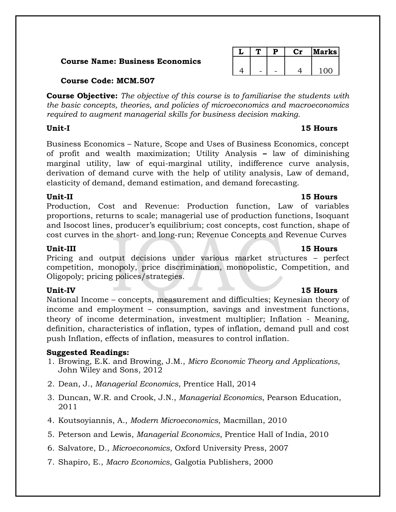# **Course Name: Business Economics**

|  |  | larks |
|--|--|-------|
|  |  |       |
|  |  | 1 ∩∩  |

# **Course Code: MCM.507**

**Course Objective:** *The objective of this course is to familiarise the students with the basic concepts, theories, and policies of microeconomics and macroeconomics required to augment managerial skills for business decision making.*

# **Unit-I 15 Hours**

Business Economics – Nature, Scope and Uses of Business Economics, concept of profit and wealth maximization; Utility Analysis **–** law of diminishing marginal utility, law of equi-marginal utility, indifference curve analysis, derivation of demand curve with the help of utility analysis, Law of demand, elasticity of demand, demand estimation, and demand forecasting.

# **Unit-II 15 Hours**

Production, Cost and Revenue: Production function, Law of variables proportions, returns to scale; managerial use of production functions, Isoquant and Isocost lines, producer's equilibrium; cost concepts, cost function, shape of cost curves in the short- and long-run; Revenue Concepts and Revenue Curves

Pricing and output decisions under various market structures – perfect competition, monopoly, price discrimination, monopolistic, Competition, and Oligopoly; pricing polices/strategies.

# **Unit-IV 15 Hours**

National Income – concepts, measurement and difficulties; Keynesian theory of income and employment – consumption, savings and investment functions, theory of income determination, investment multiplier; Inflation - Meaning, definition, characteristics of inflation, types of inflation, demand pull and cost push Inflation, effects of inflation, measures to control inflation.

# **Suggested Readings:**

- 1. Browing, E.K. and Browing, J.M., *Micro Economic Theory and Applications*, John Wiley and Sons, 2012
- 2. Dean, J., *Managerial Economics*, Prentice Hall, 2014
- 3. Duncan, W.R. and Crook, J.N., *Managerial Economics*, Pearson Education, 2011
- 4. Koutsoyiannis, A., *Modern Microeconomics*, Macmillan, 2010
- 5. Peterson and Lewis, *Managerial Economics*, Prentice Hall of India, 2010
- 6. Salvatore, D., *Microeconomics*, Oxford University Press, 2007
- 7. Shapiro, E., *Macro Economics*, Galgotia Publishers, 2000

# **Unit-III 15 Hours**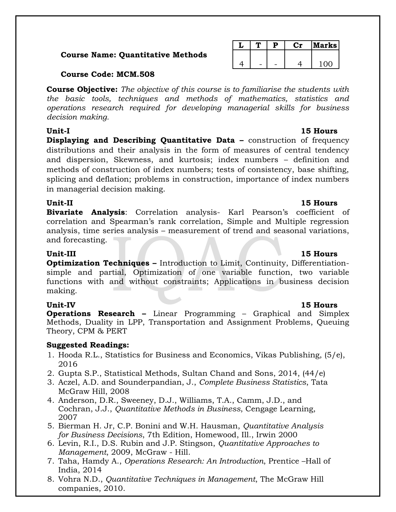# **Course Name: Quantitative Methods**

# **Course Code: MCM.508**

**Course Objective:** *The objective of this course is to familiarise the students with the basic tools, techniques and methods of mathematics, statistics and operations research required for developing managerial skills for business decision making.*

**Displaying and Describing Quantitative Data –** construction of frequency distributions and their analysis in the form of measures of central tendency and dispersion, Skewness, and kurtosis; index numbers – definition and methods of construction of index numbers; tests of consistency, base shifting, splicing and deflation; problems in construction, importance of index numbers in managerial decision making.

**Bivariate Analysis**: Correlation analysis- Karl Pearson's coefficient of correlation and Spearman's rank correlation, Simple and Multiple regression analysis, time series analysis – measurement of trend and seasonal variations, and forecasting.

**Optimization Techniques –** Introduction to Limit, Continuity, Differentiationsimple and partial, Optimization of one variable function, two variable functions with and without constraints; Applications in business decision making.

# **Unit-IV 15 Hours**

**Operations Research –** Linear Programming – Graphical and Simplex Methods, Duality in LPP, Transportation and Assignment Problems, Queuing Theory, CPM & PERT

# **Suggested Readings:**

- 1. Hooda R.L., Statistics for Business and Economics, Vikas Publishing, (5/e), 2016
- 2. Gupta S.P., Statistical Methods, Sultan Chand and Sons, 2014, (44/e)
- 3. Aczel, A.D. and Sounderpandian, J., *Complete Business Statistics*, Tata McGraw Hill, 2008
- 4. Anderson, D.R., Sweeney, D.J., Williams, T.A., Camm, J.D., and Cochran, J.J., *Quantitative Methods in Business*, Cengage Learning, 2007
- 5. Bierman H. Jr, C.P. Bonini and W.H. Hausman, *Quantitative Analysis for Business Decisions*, 7th Edition, Homewood, Ill., Irwin 2000
- 6. Levin, R.I., D.S. Rubin and J.P. Stingson, *Quantitative Approaches to Management*, 2009, McGraw - Hill.
- 7. Taha, Hamdy A., *Operations Research: An Introduction*, Prentice –Hall of India, 2014
- 8. Vohra N.D., *Quantitative Techniques in Management*, The McGraw Hill companies, 2010.

# **L T P Cr Marks**  $4$  - - 4 100

# **Unit-II 15 Hours**

# **Unit-III 15 Hours**

# **Unit-I 15 Hours**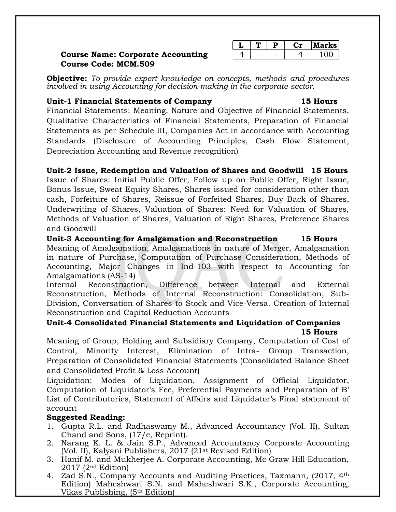# **Course Name: Corporate Accounting Course Code: MCM.509**

|  |   | rks l |
|--|---|-------|
|  | - | ~ ~   |

**Objective:** *To provide expert knowledge on concepts, methods and procedures involved in using Accounting for decision-making in the corporate sector.*

# **Unit-1 Financial Statements of Company 15 Hours**

Financial Statements: Meaning, Nature and Objective of Financial Statements, Qualitative Characteristics of Financial Statements, Preparation of Financial Statements as per Schedule III, Companies Act in accordance with Accounting Standards (Disclosure of Accounting Principles, Cash Flow Statement, Depreciation Accounting and Revenue recognition)

# **Unit-2 Issue, Redemption and Valuation of Shares and Goodwill 15 Hours**

Issue of Shares: Initial Public Offer, Follow up on Public Offer, Right Issue, Bonus Issue, Sweat Equity Shares, Shares issued for consideration other than cash, Forfeiture of Shares, Reissue of Forfeited Shares, Buy Back of Shares, Underwriting of Shares, Valuation of Shares: Need for Valuation of Shares, Methods of Valuation of Shares, Valuation of Right Shares, Preference Shares and Goodwill

**Unit-3 Accounting for Amalgamation and Reconstruction 15 Hours** Meaning of Amalgamation, Amalgamations in nature of Merger, Amalgamation in nature of Purchase, Computation of Purchase Consideration, Methods of Accounting, Major Changes in Ind-103 with respect to Accounting for Amalgamations (AS-14)

Internal Reconstruction, Difference between Internal and External Reconstruction, Methods of Internal Reconstruction: Consolidation, Sub-Division, Conversation of Shares to Stock and Vice-Versa. Creation of Internal Reconstruction and Capital Reduction Accounts

# **Unit-4 Consolidated Financial Statements and Liquidation of Companies 15 Hours**

Meaning of Group, Holding and Subsidiary Company, Computation of Cost of Control, Minority Interest, Elimination of Intra- Group Transaction, Preparation of Consolidated Financial Statements (Consolidated Balance Sheet and Consolidated Profit & Loss Account)

Liquidation: Modes of Liquidation, Assignment of Official Liquidator, Computation of Liquidator's Fee, Preferential Payments and Preparation of B' List of Contributories, Statement of Affairs and Liquidator's Final statement of account

# **Suggested Reading:**

- 1. Gupta R.L. and Radhaswamy M., Advanced Accountancy (Vol. II), Sultan Chand and Sons, (17/e, Reprint).
- 2. Narang K. L. & Jain S.P., Advanced Accountancy Corporate Accounting (Vol. II), Kalyani Publishers, 2017 (21st Revised Edition)
- 3. Hanif M. and Mukherjee A. Corporate Accounting, Mc Graw Hill Education, 2017 (2nd Edition)
- 4. Zad S.N., Company Accounts and Auditing Practices, Taxmann, (2017, 4<sup>th</sup>) Edition) Maheshwari S.N. and Maheshwari S.K., Corporate Accounting, Vikas Publishing, (5th Edition)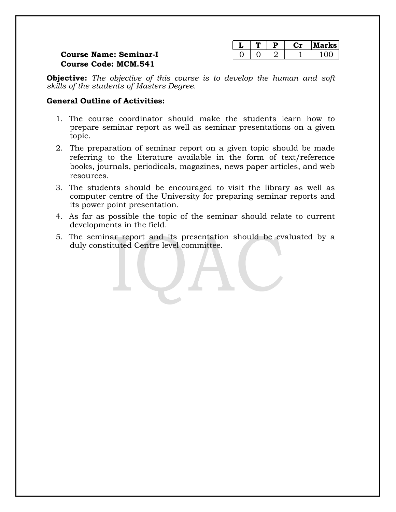| $\cdot$ | D | rks i         |
|---------|---|---------------|
|         |   | $\sim$ $\sim$ |

# **Course Name: Seminar-I Course Code: MCM.541**

**Objective:** *The objective of this course is to develop the human and soft skills of the students of Masters Degree.*

# **General Outline of Activities:**

- 1. The course coordinator should make the students learn how to prepare seminar report as well as seminar presentations on a given topic.
- 2. The preparation of seminar report on a given topic should be made referring to the literature available in the form of text/reference books, journals, periodicals, magazines, news paper articles, and web resources.
- 3. The students should be encouraged to visit the library as well as computer centre of the University for preparing seminar reports and its power point presentation.
- 4. As far as possible the topic of the seminar should relate to current developments in the field.
- 5. The seminar report and its presentation should be evaluated by a duly constituted Centre level committee.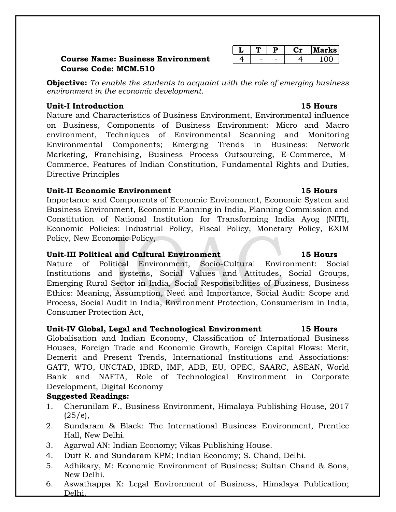# **Course Name: Business Environment Course Code: MCM.510**

**Objective:** *To enable the students to acquaint with the role of emerging business environment in the economic development.*

# **Unit-I Introduction 15 Hours**

Nature and Characteristics of Business Environment, Environmental influence on Business, Components of Business Environment: Micro and Macro environment, Techniques of Environmental Scanning and Monitoring Environmental Components; Emerging Trends in Business: Network Marketing, Franchising, Business Process Outsourcing, E-Commerce, M-Commerce, Features of Indian Constitution, Fundamental Rights and Duties, Directive Principles

# **Unit-II Economic Environment 15 Hours**

Importance and Components of Economic Environment, Economic System and Business Environment, Economic Planning in India, Planning Commission and Constitution of National Institution for Transforming India Ayog (NITI), Economic Policies: Industrial Policy, Fiscal Policy, Monetary Policy, EXIM Policy, New Economic Policy,

# **Unit-III Political and Cultural Environment 15 Hours**

Nature of Political Environment, Socio-Cultural Environment: Social Institutions and systems, Social Values and Attitudes, Social Groups, Emerging Rural Sector in India, Social Responsibilities of Business, Business Ethics: Meaning, Assumption, Need and Importance, Social Audit: Scope and Process, Social Audit in India, Environment Protection, Consumerism in India, Consumer Protection Act,

# **Unit-IV Global, Legal and Technological Environment 15 Hours**

Globalisation and Indian Economy, Classification of International Business Houses, Foreign Trade and Economic Growth, Foreign Capital Flows: Merit, Demerit and Present Trends, International Institutions and Associations: GATT, WTO, UNCTAD, IBRD, IMF, ADB, EU, OPEC, SAARC, ASEAN, World Bank and NAFTA, Role of Technological Environment in Corporate Development, Digital Economy

# **Suggested Readings:**

- 1. Cherunilam F., Business Environment, Himalaya Publishing House, 2017  $(25/e),$
- 2. Sundaram & Black: The International Business Environment, Prentice Hall, New Delhi.
- 3. Agarwal AN: Indian Economy; Vikas Publishing House.
- 4. Dutt R. and Sundaram KPM; Indian Economy; S. Chand, Delhi.
- 5. Adhikary, M: Economic Environment of Business; Sultan Chand & Sons, New Delhi.
- 6. Aswathappa K: Legal Environment of Business, Himalaya Publication; Delhi.

| ı. |  | rks I<br>. <b>.</b> |
|----|--|---------------------|
|    |  | $\sim$ $\sim$       |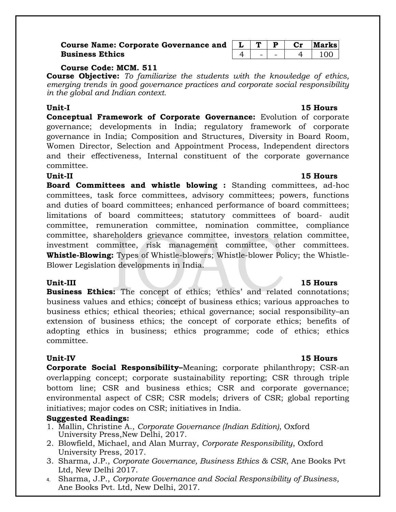# **Course Name: Corporate Governance and Business Ethics**

| ٠ |  |  | larks |
|---|--|--|-------|
|   |  |  |       |

# **Course Code: MCM. 511**

**Course Objective:** *To familiarize the students with the knowledge of ethics, emerging trends in good governance practices and corporate social responsibility in the global and Indian context.*

# **Unit-I 15 Hours**

**Conceptual Framework of Corporate Governance:** Evolution of corporate governance; developments in India; regulatory framework of corporate governance in India; Composition and Structures, Diversity in Board Room, Women Director, Selection and Appointment Process, Independent directors and their effectiveness, Internal constituent of the corporate governance committee.

# **Unit-II 15 Hours**

**Board Committees and whistle blowing :** Standing committees, ad-hoc committees, task force committees, advisory committees; powers, functions and duties of board committees; enhanced performance of board committees; limitations of board committees; statutory committees of board- audit committee, remuneration committee, nomination committee, compliance committee, shareholders grievance committee, investors relation committee, investment committee, risk management committee, other committees. **Whistle-Blowing:** Types of Whistle-blowers; Whistle-blower Policy; the Whistle-Blower Legislation developments in India.

**Business Ethics:** The concept of ethics; 'ethics' and related connotations; business values and ethics; concept of business ethics; various approaches to business ethics; ethical theories; ethical governance; social responsibility–an extension of business ethics; the concept of corporate ethics; benefits of adopting ethics in business; ethics programme; code of ethics; ethics committee.

**Corporate Social Responsibility–**Meaning; corporate philanthropy; CSR-an overlapping concept; corporate sustainability reporting; CSR through triple bottom line; CSR and business ethics; CSR and corporate governance; environmental aspect of CSR; CSR models; drivers of CSR; global reporting initiatives; major codes on CSR; initiatives in India.

# **Suggested Readings:**

- 1. Mallin, Christine A., *Corporate Governance (Indian Edition)*, Oxford University Press,New Delhi, 2017.
- 2. Blowfield, Michael, and Alan Murray, *Corporate Responsibility*, Oxford University Press, 2017.
- 3. Sharma, J.P., *Corporate Governance, Business Ethics & CSR*, Ane Books Pvt Ltd, New Delhi 2017.
- 4. Sharma, J.P., *Corporate Governance and Social Responsibility of Business*, Ane Books Pvt. Ltd, New Delhi, 2017.

# **Unit-III 15 Hours**

# **Unit-IV 15 Hours**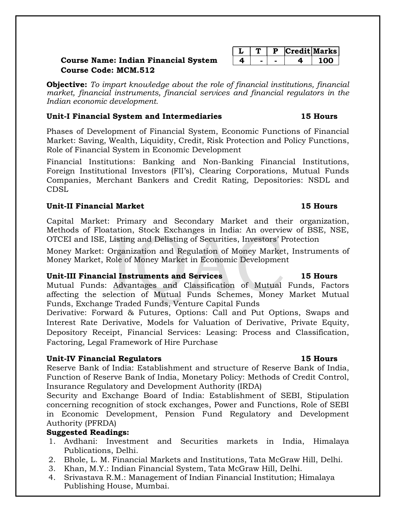# **Course Name: Indian Financial System Course Code: MCM.512**

**Objective:** *To impart knowledge about the role of financial institutions, financial market, financial instruments, financial services and financial regulators in the Indian economic development.*

# **Unit-I Financial System and Intermediaries 15 Hours**

Phases of Development of Financial System, Economic Functions of Financial Market: Saving, Wealth, Liquidity, Credit, Risk Protection and Policy Functions, Role of Financial System in Economic Development

Financial Institutions: Banking and Non-Banking Financial Institutions, Foreign Institutional Investors (FII's), Clearing Corporations, Mutual Funds Companies, Merchant Bankers and Credit Rating, Depositories: NSDL and CDSL

# **Unit-II Financial Market 15 Hours**

Capital Market: Primary and Secondary Market and their organization, Methods of Floatation, Stock Exchanges in India: An overview of BSE, NSE, OTCEI and ISE, Listing and Delisting of Securities, Investors' Protection

Money Market: Organization and Regulation of Money Market, Instruments of Money Market, Role of Money Market in Economic Development

# **Unit-III Financial Instruments and Services 15 Hours**

Mutual Funds: Advantages and Classification of Mutual Funds, Factors affecting the selection of Mutual Funds Schemes, Money Market Mutual Funds, Exchange Traded Funds, Venture Capital Funds

Derivative: Forward & Futures, Options: Call and Put Options, Swaps and Interest Rate Derivative, Models for Valuation of Derivative, Private Equity, Depository Receipt, Financial Services: Leasing: Process and Classification, Factoring, Legal Framework of Hire Purchase

# **Unit-IV Financial Regulators 15 Hours**

Reserve Bank of India: Establishment and structure of Reserve Bank of India, Function of Reserve Bank of India, Monetary Policy: Methods of Credit Control, Insurance Regulatory and Development Authority (IRDA)

Security and Exchange Board of India: Establishment of SEBI, Stipulation concerning recognition of stock exchanges, Power and Functions, Role of SEBI in Economic Development, Pension Fund Regulatory and Development Authority (PFRDA)

# **Suggested Readings:**

- 1. Avdhani: Investment and Securities markets in India, Himalaya Publications, Delhi.
- 2. Bhole, L. M. Financial Markets and Institutions, Tata McGraw Hill, Delhi.
- 3. Khan, M.Y.: Indian Financial System, Tata McGraw Hill, Delhi.
- 4. Srivastava R.M.: Management of Indian Financial Institution; Himalaya Publishing House, Mumbai.

|  |  | edit Marks |
|--|--|------------|
|  |  |            |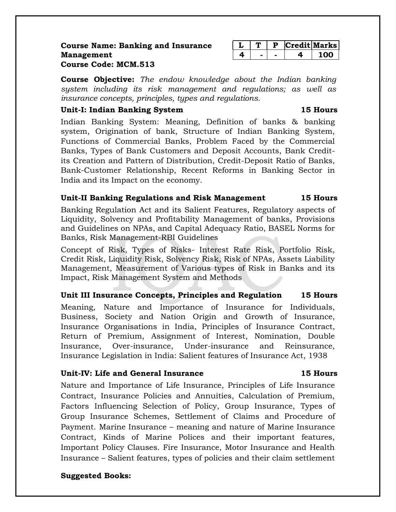# **Course Name: Banking and Insurance Management**

|  |  | I T | redit Marks |
|--|--|-----|-------------|
|  |  |     |             |

# **Course Code: MCM.513**

**Course Objective:** *The endow knowledge about the Indian banking system including its risk management and regulations; as well as insurance concepts, principles, types and regulations.*

# **Unit-I: Indian Banking System 15 Hours**

Indian Banking System: Meaning, Definition of banks & banking system, Origination of bank, Structure of Indian Banking System, Functions of Commercial Banks, Problem Faced by the Commercial Banks, Types of Bank Customers and Deposit Accounts, Bank Creditits Creation and Pattern of Distribution, Credit-Deposit Ratio of Banks, Bank-Customer Relationship, Recent Reforms in Banking Sector in India and its Impact on the economy.

# **Unit-II Banking Regulations and Risk Management 15 Hours**

Banking Regulation Act and its Salient Features, Regulatory aspects of Liquidity, Solvency and Profitability Management of banks, Provisions and Guidelines on NPAs, and Capital Adequacy Ratio, BASEL Norms for Banks, Risk Management-RBI Guidelines

Concept of Risk, Types of Risks- Interest Rate Risk, Portfolio Risk, Credit Risk, Liquidity Risk, Solvency Risk, Risk of NPAs, Assets Liability Management, Measurement of Various types of Risk in Banks and its Impact, Risk Management System and Methods

# **Unit III Insurance Concepts, Principles and Regulation 15 Hours**

Meaning, Nature and Importance of Insurance for Individuals, Business, Society and Nation Origin and Growth of Insurance, Insurance Organisations in India, Principles of Insurance Contract, Return of Premium, Assignment of Interest, Nomination, Double Insurance, Over-insurance, Under-insurance and Reinsurance, Insurance Legislation in India: Salient features of Insurance Act, 1938

# **Unit-IV: Life and General Insurance 15 Hours**

Nature and Importance of Life Insurance, Principles of Life Insurance Contract, Insurance Policies and Annuities, Calculation of Premium, Factors Influencing Selection of Policy, Group Insurance, Types of Group Insurance Schemes, Settlement of Claims and Procedure of Payment. Marine Insurance – meaning and nature of Marine Insurance Contract, Kinds of Marine Polices and their important features, Important Policy Clauses. Fire Insurance, Motor Insurance and Health Insurance – Salient features, types of policies and their claim settlement

# **Suggested Books:**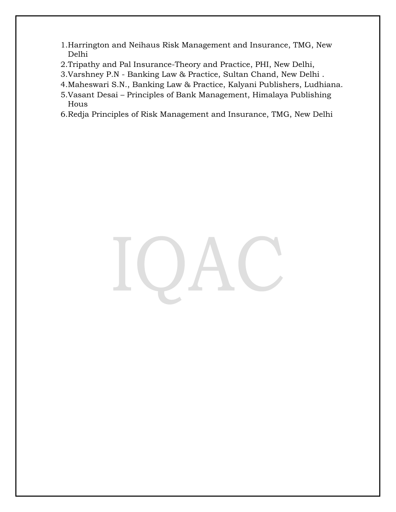- 1.Harrington and Neihaus Risk Management and Insurance, TMG, New Delhi
- 2.Tripathy and Pal Insurance-Theory and Practice, PHI, New Delhi,
- 3.Varshney P.N Banking Law & Practice, Sultan Chand, New Delhi .
- 4.Maheswari S.N., Banking Law & Practice, Kalyani Publishers, Ludhiana.
- 5.Vasant Desai Principles of Bank Management, Himalaya Publishing Hous
- 6.Redja Principles of Risk Management and Insurance, TMG, New Delhi

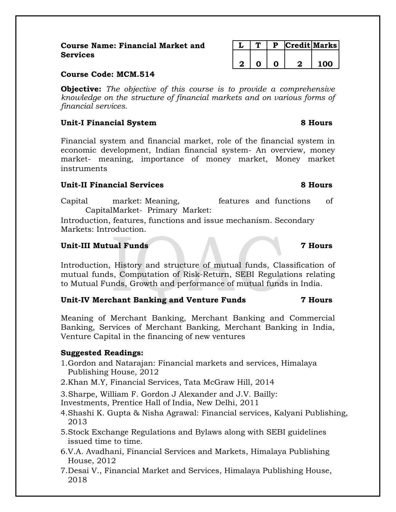# **Course Name: Financial Market and Services**

|  |  | <b>Course Code: MCM.514</b> |
|--|--|-----------------------------|
|--|--|-----------------------------|

**Objective:** *The objective of this course is to provide a comprehensive knowledge on the structure of financial markets and on various forms of financial services.*

# **Unit-I Financial System 8 Hours**

Financial system and financial market, role of the financial system in economic development, Indian financial system- An overview, money market- meaning, importance of money market, Money market instruments

# **Unit-II Financial Services 8 Hours**

Capital market: Meaning, features and functions of CapitalMarket- Primary Market:

Introduction, features, functions and issue mechanism. Secondary Markets: Introduction.

# **Unit-III Mutual Funds 7 Hours**

Introduction, History and structure of mutual funds, Classification of mutual funds, Computation of Risk-Return, SEBI Regulations relating to Mutual Funds, Growth and performance of mutual funds in India.

# **Unit-IV Merchant Banking and Venture Funds 7 Hours**

Meaning of Merchant Banking, Merchant Banking and Commercial Banking, Services of Merchant Banking, Merchant Banking in India, Venture Capital in the financing of new ventures

# **Suggested Readings:**

- 1.Gordon and Natarajan: Financial markets and services, Himalaya Publishing House, 2012
- 2.Khan M.Y, Financial Services, Tata McGraw Hill, 2014

3.Sharpe, William F. Gordon J Alexander and J.V. Bailly:

Investments, Prentice Hall of India, New Delhi, 2011

- 4.Shashi K. Gupta & Nisha Agrawal: Financial services, Kalyani Publishing, 2013
- 5.Stock Exchange Regulations and Bylaws along with SEBI guidelines issued time to time.
- 6.V.A. Avadhani, Financial Services and Markets, Himalaya Publishing House, 2012
- 7.Desai V., Financial Market and Services, Himalaya Publishing House, 2018

|  |  | Credit Marks |
|--|--|--------------|
|  |  |              |
|  |  | חחי          |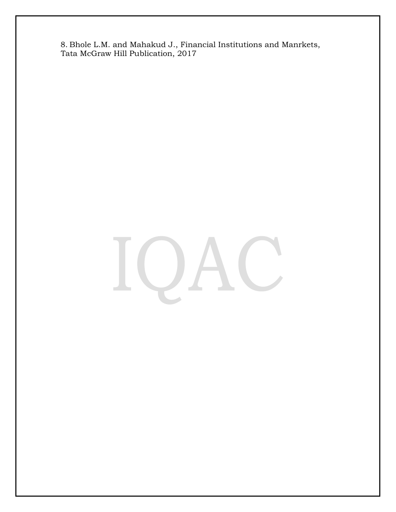8. Bhole L.M. and Mahakud J., Financial Institutions and Manrkets, Tata McGraw Hill Publication, 2017

#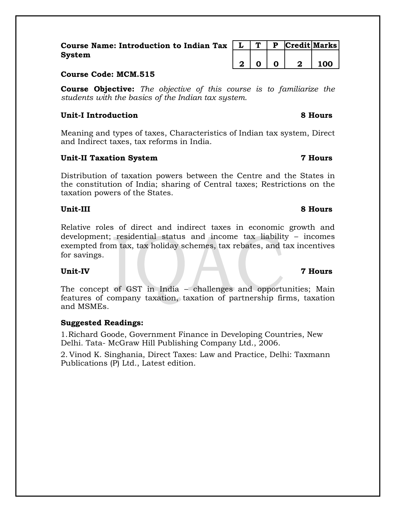| Course Name: Introduction to Indian Tax $\mid L \mid T \mid P$  Credit   Marks |                                 |  |                         |             |
|--------------------------------------------------------------------------------|---------------------------------|--|-------------------------|-------------|
| <b>System</b>                                                                  |                                 |  |                         |             |
|                                                                                | $\vert 2 \vert 0 \vert 0 \vert$ |  | $\overline{\mathbf{2}}$ | $\vert$ 100 |

# **Course Code: MCM.515**

**Course Objective:** *The objective of this course is to familiarize the students with the basics of the Indian tax system.*

# **Unit-I Introduction 8 Hours**

Meaning and types of taxes, Characteristics of Indian tax system, Direct and Indirect taxes, tax reforms in India.

# **Unit-II Taxation System 7 Hours**

Distribution of taxation powers between the Centre and the States in the constitution of India; sharing of Central taxes; Restrictions on the taxation powers of the States.

# **Unit-III 8 Hours**

Relative roles of direct and indirect taxes in economic growth and development; residential status and income tax liability – incomes exempted from tax, tax holiday schemes, tax rebates, and tax incentives for savings.

# **Unit-IV 7 Hours**

The concept of GST in India – challenges and opportunities; Main features of company taxation, taxation of partnership firms, taxation and MSMEs.

# **Suggested Readings:**

1.Richard Goode, Government Finance in Developing Countries, New Delhi. Tata- McGraw Hill Publishing Company Ltd., 2006.

2. Vinod K. Singhania, Direct Taxes: Law and Practice, Delhi: Taxmann Publications (P) Ltd., Latest edition.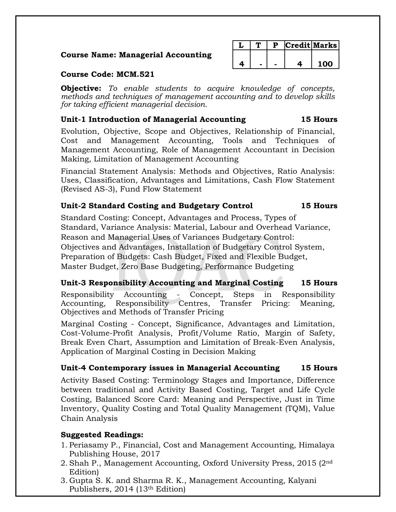# **Course Name: Managerial Accounting**

|  |  | Credit Marks |
|--|--|--------------|
|  |  |              |
|  |  | 00 ·         |

# **Course Code: MCM.521**

**Objective:** *To enable students to acquire knowledge of concepts, methods and techniques of management accounting and to develop skills for taking efficient managerial decision.*

# **Unit-1 Introduction of Managerial Accounting 15 Hours**

Evolution, Objective, Scope and Objectives, Relationship of Financial, Cost and Management Accounting, Tools and Techniques of Management Accounting, Role of Management Accountant in Decision Making, Limitation of Management Accounting

Financial Statement Analysis: Methods and Objectives, Ratio Analysis: Uses, Classification, Advantages and Limitations, Cash Flow Statement (Revised AS-3), Fund Flow Statement

# **Unit-2 Standard Costing and Budgetary Control 15 Hours**

Standard Costing: Concept, Advantages and Process, Types of Standard, Variance Analysis: Material, Labour and Overhead Variance, Reason and Managerial Uses of Variances Budgetary Control: Objectives and Advantages, Installation of Budgetary Control System, Preparation of Budgets: Cash Budget, Fixed and Flexible Budget, Master Budget, Zero Base Budgeting, Performance Budgeting

# **Unit-3 Responsibility Accounting and Marginal Costing 15 Hours**

Responsibility Accounting - Concept, Steps in Responsibility Accounting, Responsibility Centres, Transfer Pricing: Meaning, Objectives and Methods of Transfer Pricing

Marginal Costing - Concept, Significance, Advantages and Limitation, Cost-Volume-Profit Analysis, Profit/Volume Ratio, Margin of Safety, Break Even Chart, Assumption and Limitation of Break-Even Analysis, Application of Marginal Costing in Decision Making

# **Unit-4 Contemporary issues in Managerial Accounting 15 Hours**

Activity Based Costing: Terminology Stages and Importance, Difference between traditional and Activity Based Costing, Target and Life Cycle Costing, Balanced Score Card: Meaning and Perspective, Just in Time Inventory, Quality Costing and Total Quality Management (TQM), Value Chain Analysis

# **Suggested Readings:**

- 1. Periasamy P., Financial, Cost and Management Accounting, Himalaya Publishing House, 2017
- 2. Shah P., Management Accounting, Oxford University Press, 2015 (2nd Edition)
- 3. Gupta S. K. and Sharma R. K., Management Accounting, Kalyani Publishers, 2014 (13th Edition)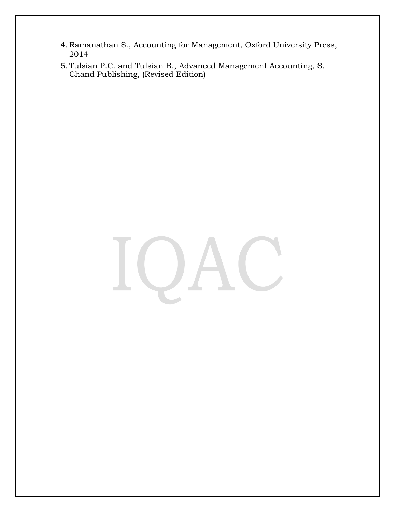- 4. Ramanathan S., Accounting for Management, Oxford University Press, 2014
- 5. Tulsian P.C. and Tulsian B., Advanced Management Accounting, S. Chand Publishing, (Revised Edition)

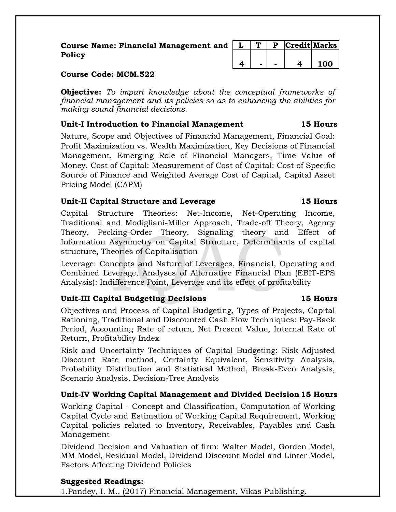| Course Name: Financial Management and $  L   T   P$ Credit Marks |  |  |  |
|------------------------------------------------------------------|--|--|--|
| Policy                                                           |  |  |  |
|                                                                  |  |  |  |

# **Course Code: MCM.522**

**Objective:** *To impart knowledge about the conceptual frameworks of financial management and its policies so as to enhancing the abilities for making sound financial decisions.*

# **Unit-I Introduction to Financial Management 15 Hours**

Nature, Scope and Objectives of Financial Management, Financial Goal: Profit Maximization vs. Wealth Maximization, Key Decisions of Financial Management, Emerging Role of Financial Managers, Time Value of Money, Cost of Capital: Measurement of Cost of Capital: Cost of Specific Source of Finance and Weighted Average Cost of Capital, Capital Asset Pricing Model (CAPM)

# **Unit-II Capital Structure and Leverage 15 Hours**

Capital Structure Theories: Net-Income, Net-Operating Income, Traditional and Modigliani-Miller Approach, Trade-off Theory, Agency Theory, Pecking-Order Theory, Signaling theory and Effect of Information Asymmetry on Capital Structure, Determinants of capital structure, Theories of Capitalisation

Leverage: Concepts and Nature of Leverages, Financial, Operating and Combined Leverage, Analyses of Alternative Financial Plan (EBIT-EPS Analysis): Indifference Point, Leverage and its effect of profitability

# **Unit-III Capital Budgeting Decisions 15 Hours**

Objectives and Process of Capital Budgeting, Types of Projects, Capital Rationing, Traditional and Discounted Cash Flow Techniques: Pay-Back Period, Accounting Rate of return, Net Present Value, Internal Rate of Return, Profitability Index

Risk and Uncertainty Techniques of Capital Budgeting: Risk-Adjusted Discount Rate method, Certainty Equivalent, Sensitivity Analysis, Probability Distribution and Statistical Method, Break-Even Analysis, Scenario Analysis, Decision-Tree Analysis

# **Unit-IV Working Capital Management and Divided Decision15 Hours**

Working Capital - Concept and Classification, Computation of Working Capital Cycle and Estimation of Working Capital Requirement, Working Capital policies related to Inventory, Receivables, Payables and Cash Management

Dividend Decision and Valuation of firm: Walter Model, Gorden Model, MM Model, Residual Model, Dividend Discount Model and Linter Model, Factors Affecting Dividend Policies

# **Suggested Readings:**

1.Pandey, I. M., (2017) Financial Management, Vikas Publishing.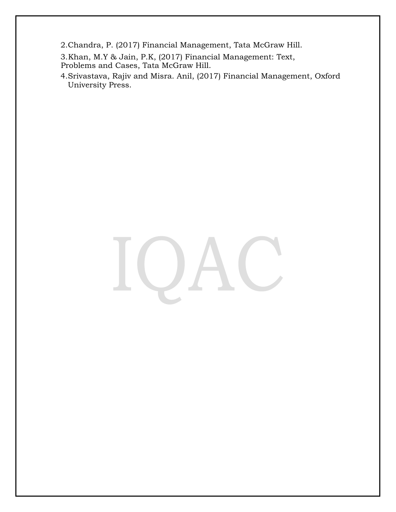- 2.Chandra, P. (2017) Financial Management, Tata McGraw Hill.
- 3.Khan, M.Y & Jain, P.K, (2017) Financial Management: Text, Problems and Cases, Tata McGraw Hill.
- 4.Srivastava, Rajiv and Misra. Anil, (2017) Financial Management, Oxford University Press.

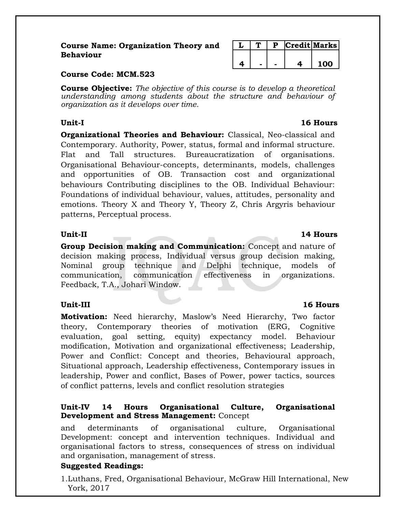# **Course Name: Organization Theory and Behaviour**

|  |  | Credit Marks |
|--|--|--------------|
|  |  |              |
|  |  | <u> എറ</u>   |

# **Course Code: MCM.523**

**Course Objective:** *The objective of this course is to develop a theoretical understanding among students about the structure and behaviour of organization as it develops over time.*

**Organizational Theories and Behaviour:** Classical, Neo-classical and Contemporary. Authority, Power, status, formal and informal structure. Flat and Tall structures. Bureaucratization of organisations. Organisational Behaviour-concepts, determinants, models, challenges and opportunities of OB. Transaction cost and organizational behaviours Contributing disciplines to the OB. Individual Behaviour: Foundations of individual behaviour, values, attitudes, personality and emotions. Theory X and Theory Y, Theory Z, Chris Argyris behaviour patterns, Perceptual process.

**Group Decision making and Communication:** Concept and nature of decision making process, Individual versus group decision making, Nominal group technique and Delphi technique, models of communication, communication effectiveness in organizations. Feedback, T.A., Johari Window.

**Motivation:** Need hierarchy, Maslow's Need Hierarchy, Two factor theory, Contemporary theories of motivation (ERG, Cognitive evaluation, goal setting, equity) expectancy model. Behaviour modification, Motivation and organizational effectiveness; Leadership, Power and Conflict: Concept and theories, Behavioural approach, Situational approach, Leadership effectiveness, Contemporary issues in leadership, Power and conflict, Bases of Power, power tactics, sources of conflict patterns, levels and conflict resolution strategies

# **Unit-IV 14 Hours Organisational Culture, Organisational Development and Stress Management:** Concept

and determinants of organisational culture, Organisational Development: concept and intervention techniques. Individual and organisational factors to stress, consequences of stress on individual and organisation, management of stress.

# **Suggested Readings:**

1.Luthans, Fred, Organisational Behaviour, McGraw Hill International, New York, 2017

# **Unit-I 16 Hours**

# **Unit-II 14 Hours**

# **Unit-III 16 Hours**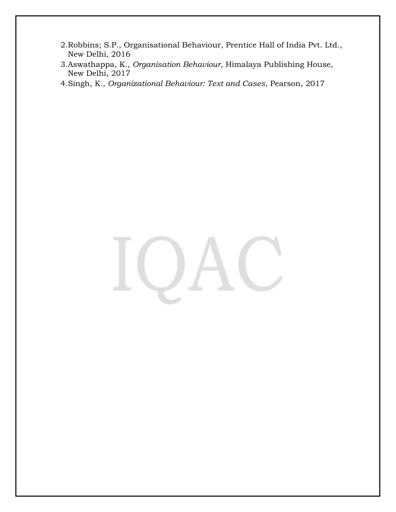- 2.Robbins; S.P., Organisational Behaviour, Prentice Hall of India Pvt. Ltd., New Delhi, 2016
- 3.Aswathappa, K., *Organisation Behaviour*, Himalaya Publishing House, New Delhi, 2017
- 4.Singh, K., *Organizational Behaviour: Text and Cases*, Pearson, 2017

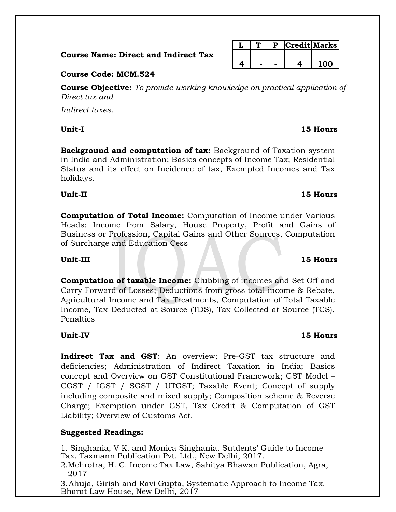**Course Name: Direct and Indirect Tax**

|  | D | Credit Marks |
|--|---|--------------|
|  |   |              |
|  |   | חחו          |

# **Course Code: MCM.524**

**Course Objective:** *To provide working knowledge on practical application of Direct tax and*

*Indirect taxes.*

**Background and computation of tax:** Background of Taxation system in India and Administration; Basics concepts of Income Tax; Residential Status and its effect on Incidence of tax, Exempted Incomes and Tax holidays.

**Unit-II 15 Hours**

**Computation of Total Income:** Computation of Income under Various Heads: Income from Salary, House Property, Profit and Gains of Business or Profession, Capital Gains and Other Sources, Computation of Surcharge and Education Cess

**Computation of taxable Income:** Clubbing of incomes and Set Off and Carry Forward of Losses; Deductions from gross total income & Rebate, Agricultural Income and Tax Treatments, Computation of Total Taxable Income, Tax Deducted at Source (TDS), Tax Collected at Source (TCS), Penalties

**Indirect Tax and GST**: An overview; Pre-GST tax structure and deficiencies; Administration of Indirect Taxation in India; Basics concept and Overview on GST Constitutional Framework; GST Model – CGST / IGST / SGST / UTGST; Taxable Event; Concept of supply including composite and mixed supply; Composition scheme & Reverse Charge; Exemption under GST, Tax Credit & Computation of GST Liability; Overview of Customs Act.

# **Suggested Readings:**

1. Singhania, V K. and Monica Singhania. Sutdents' Guide to Income Tax. Taxmann Publication Pvt. Ltd., New Delhi, 2017.

2.Mehrotra, H. C. Income Tax Law, Sahitya Bhawan Publication, Agra, 2017

3.Ahuja, Girish and Ravi Gupta, Systematic Approach to Income Tax. Bharat Law House, New Delhi, 2017

# **Unit-IV 15 Hours**

# **Unit-III 15 Hours**

# **Unit-I 15 Hours**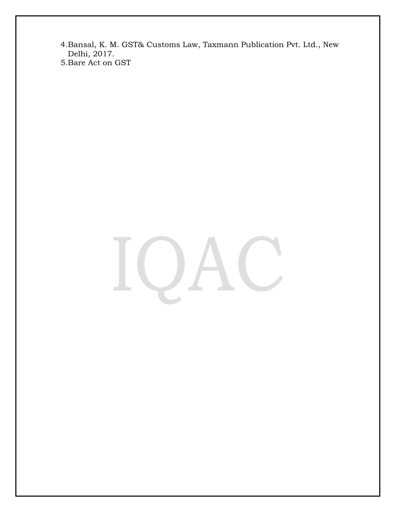- 4.Bansal, K. M. GST& Customs Law, Taxmann Publication Pvt. Ltd., New Delhi, 2017.
- 5.Bare Act on GST

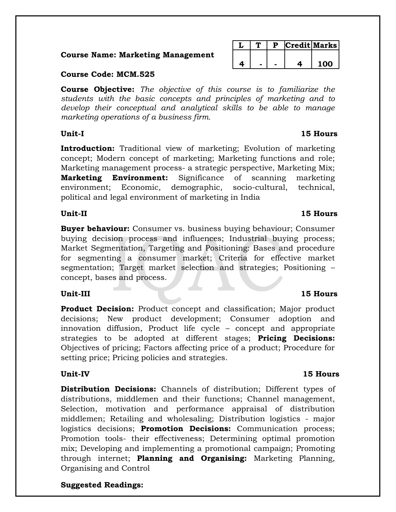# **Course Name: Marketing Management**

# **Course Code: MCM.525**

**Course Objective:** *The objective of this course is to familiarize the students with the basic concepts and principles of marketing and to develop their conceptual and analytical skills to be able to manage marketing operations of a business firm.*

**Introduction:** Traditional view of marketing; Evolution of marketing concept; Modern concept of marketing; Marketing functions and role; Marketing management process- a strategic perspective, Marketing Mix; **Marketing Environment:** Significance of scanning marketing environment; Economic, demographic, socio-cultural, technical, political and legal environment of marketing in India

# **Unit-II 15 Hours**

**Buyer behaviour:** Consumer vs. business buying behaviour; Consumer buying decision process and influences; Industrial buying process; Market Segmentation, Targeting and Positioning: Bases and procedure for segmenting a consumer market; Criteria for effective market segmentation; Target market selection and strategies; Positioning – concept, bases and process.

# **Unit-III 15 Hours**

**Product Decision:** Product concept and classification; Major product decisions; New product development; Consumer adoption and innovation diffusion, Product life cycle – concept and appropriate strategies to be adopted at different stages; **Pricing Decisions:** Objectives of pricing; Factors affecting price of a product; Procedure for setting price; Pricing policies and strategies.

**Distribution Decisions:** Channels of distribution; Different types of distributions, middlemen and their functions; Channel management, Selection, motivation and performance appraisal of distribution middlemen; Retailing and wholesaling; Distribution logistics - major logistics decisions; **Promotion Decisions:** Communication process; Promotion tools- their effectiveness; Determining optimal promotion mix; Developing and implementing a promotional campaign; Promoting through internet; **Planning and Organising:** Marketing Planning, Organising and Control

# **Suggested Readings:**

# **L T P Credit Marks 4 - - 4 100**

# **Unit-I 15 Hours**

# **Unit-IV 15 Hours**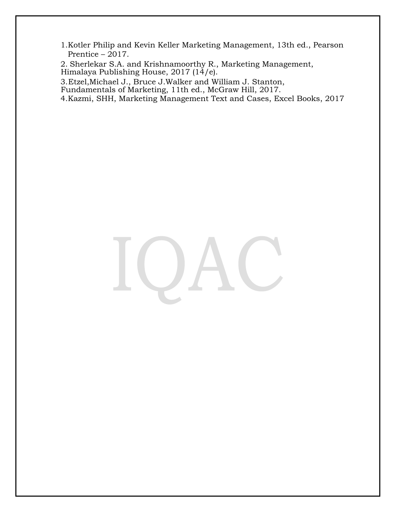1.Kotler Philip and Kevin Keller Marketing Management, 13th ed., Pearson Prentice – 2017.

2. Sherlekar S.A. and Krishnamoorthy R., Marketing Management, Himalaya Publishing House, 2017  $(14/e)$ .

3.Etzel,Michael J., Bruce J.Walker and William J. Stanton,

Fundamentals of Marketing, 11th ed., McGraw Hill, 2017.

4.Kazmi, SHH, Marketing Management Text and Cases, Excel Books, 2017

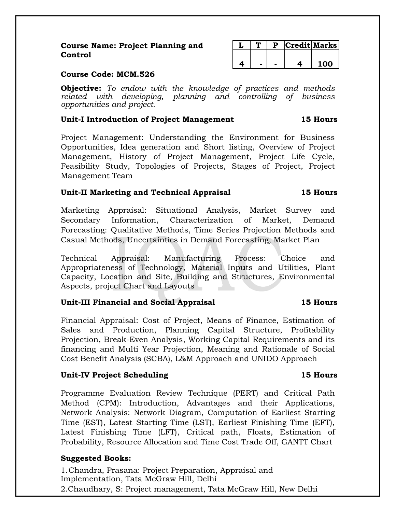**Course Name: Project Planning and Control**

|  |  | <b>Credit Marks</b> |     |
|--|--|---------------------|-----|
|  |  |                     |     |
|  |  |                     | 100 |

# **Course Code: MCM.526**

**Objective:** *To endow with the knowledge of practices and methods related with developing, planning and controlling of business opportunities and project.*

# **Unit-I Introduction of Project Management 15 Hours**

Project Management: Understanding the Environment for Business Opportunities, Idea generation and Short listing, Overview of Project Management, History of Project Management, Project Life Cycle, Feasibility Study, Topologies of Projects, Stages of Project, Project Management Team

# **Unit-II Marketing and Technical Appraisal 15 Hours**

Marketing Appraisal: Situational Analysis, Market Survey and Secondary Information, Characterization of Market, Demand Forecasting: Qualitative Methods, Time Series Projection Methods and Casual Methods, Uncertainties in Demand Forecasting, Market Plan

Technical Appraisal: Manufacturing Process: Choice and Appropriateness of Technology, Material Inputs and Utilities, Plant Capacity, Location and Site, Building and Structures, Environmental Aspects, project Chart and Layouts

# **Unit-III Financial and Social Appraisal 15 Hours**

Financial Appraisal: Cost of Project, Means of Finance, Estimation of Sales and Production, Planning Capital Structure, Profitability Projection, Break-Even Analysis, Working Capital Requirements and its financing and Multi Year Projection, Meaning and Rationale of Social Cost Benefit Analysis (SCBA), L&M Approach and UNIDO Approach

# **Unit-IV Project Scheduling 15 Hours**

Programme Evaluation Review Technique (PERT) and Critical Path Method (CPM): Introduction, Advantages and their Applications, Network Analysis: Network Diagram, Computation of Earliest Starting Time (EST), Latest Starting Time (LST), Earliest Finishing Time (EFT), Latest Finishing Time (LFT), Critical path, Floats, Estimation of Probability, Resource Allocation and Time Cost Trade Off, GANTT Chart

# **Suggested Books:**

1.Chandra, Prasana: Project Preparation, Appraisal and Implementation, Tata McGraw Hill, Delhi 2.Chaudhary, S: Project management, Tata McGraw Hill, New Delhi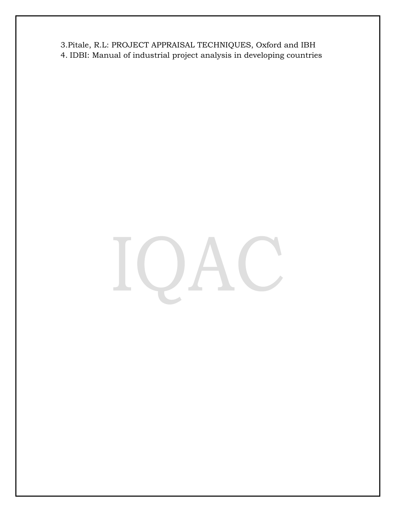3.Pitale, R.L: PROJECT APPRAISAL TECHNIQUES, Oxford and IBH 4. IDBI: Manual of industrial project analysis in developing countries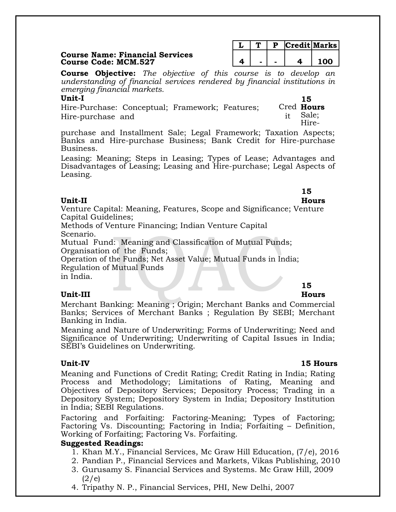## **Course Name: Financial Services Course Code: MCM.527 4 - - 4 100**

|  |  | <b>Credit Marks</b> |
|--|--|---------------------|
|  |  | 100 L               |

**Course Objective:** *The objective of this course is to develop an understanding of financial services rendered by financial institutions in emerging financial markets.*

# **Unit-I**

Hire-Purchase: Conceptual; Framework; Features; Hire-purchase and

Cred **Hours**  it Sale; Hire-

**15** 

purchase and Installment Sale; Legal Framework; Taxation Aspects; Banks and Hire-purchase Business; Bank Credit for Hire-purchase Business.

Leasing: Meaning; Steps in Leasing; Types of Lease; Advantages and Disadvantages of Leasing; Leasing and Hire-purchase; Legal Aspects of Leasing.

# **Unit-II**

**15** 

# **Hours**

Venture Capital: Meaning, Features, Scope and Significance; Venture Capital Guidelines;

Methods of Venture Financing; Indian Venture Capital Scenario.

Mutual Fund: Meaning and Classification of Mutual Funds; Organisation of the Funds;

Operation of the Funds; Net Asset Value; Mutual Funds in India; Regulation of Mutual Funds

in India.

# **Unit-III**

# **15**

**Hours**

Merchant Banking: Meaning ; Origin; Merchant Banks and Commercial Banks; Services of Merchant Banks ; Regulation By SEBI; Merchant Banking in India.

Meaning and Nature of Underwriting; Forms of Underwriting; Need and Significance of Underwriting; Underwriting of Capital Issues in India; SEBI's Guidelines on Underwriting.

# **Unit-IV 15 Hours**

Meaning and Functions of Credit Rating; Credit Rating in India; Rating Process and Methodology; Limitations of Rating, Meaning and Objectives of Depository Services; Depository Process; Trading in a Depository System; Depository System in India; Depository Institution in India; SEBI Regulations.

Factoring and Forfaiting: Factoring-Meaning; Types of Factoring; Factoring Vs. Discounting; Factoring in India; Forfaiting – Definition, Working of Forfaiting; Factoring Vs. Forfaiting.

# **Suggested Readings:**

- 1. Khan M.Y., Financial Services, Mc Graw Hill Education, (7/e), 2016
- 2. Pandian P., Financial Services and Markets, Vikas Publishing, 2010
- 3. Gurusamy S. Financial Services and Systems. Mc Graw Hill, 2009  $(2/e)$
- 4. Tripathy N. P., Financial Services, PHI, New Delhi, 2007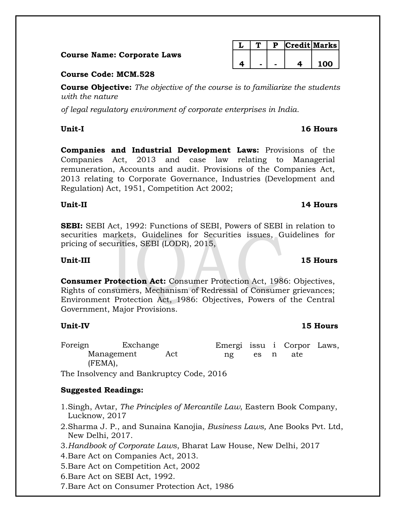|  |  | <b>Course Name: Corporate Laws</b> |  |
|--|--|------------------------------------|--|
|--|--|------------------------------------|--|

# **Course Code: MCM.528**

**Course Objective:** *The objective of the course is to familiarize the students with the nature*

*of legal regulatory environment of corporate enterprises in India.*

**Unit-I 16 Hours**

**Companies and Industrial Development Laws:** Provisions of the Companies Act, 2013 and case law relating to Managerial remuneration, Accounts and audit. Provisions of the Companies Act, 2013 relating to Corporate Governance, Industries (Development and Regulation) Act, 1951, Competition Act 2002;

# **Unit-II 14 Hours**

**SEBI:** SEBI Act, 1992: Functions of SEBI, Powers of SEBI in relation to securities markets, Guidelines for Securities issues, Guidelines for pricing of securities, SEBI (LODR), 2015,

# **Unit-III 15 Hours**

**Consumer Protection Act:** Consumer Protection Act, 1986: Objectives, Rights of consumers, Mechanism of Redressal of Consumer grievances; Environment Protection Act, 1986: Objectives, Powers of the Central Government, Major Provisions.

# **Unit-IV 15 Hours**

Foreign Exchange Management Act (FEMA), Emergi issu i Corpor Laws, ng es n ate

The Insolvency and Bankruptcy Code, 2016

# **Suggested Readings:**

- 1.Singh, Avtar, *The Principles of Mercantile Law*, Eastern Book Company, Lucknow, 2017
- 2.Sharma J. P., and Sunaina Kanojia, *Business Laws,* Ane Books Pvt. Ltd, New Delhi, 2017.
- 3.*Handbook of Corporate Laws*, Bharat Law House, New Delhi, 2017
- 4.Bare Act on Companies Act, 2013.
- 5.Bare Act on Competition Act, 2002
- 6.Bare Act on SEBI Act, 1992.
- 7.Bare Act on Consumer Protection Act, 1986

|  |  | Credit Marks |
|--|--|--------------|
|  |  |              |
|  |  | חח ו         |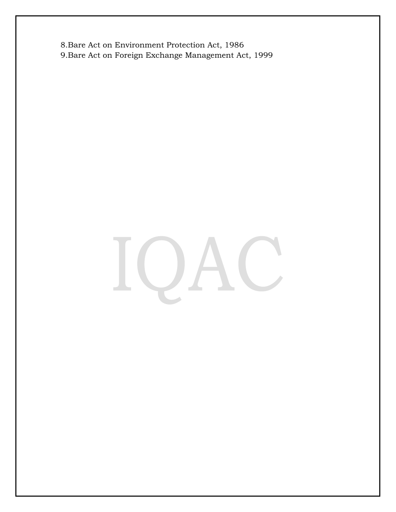8.Bare Act on Environment Protection Act, 1986 9.Bare Act on Foreign Exchange Management Act, 1999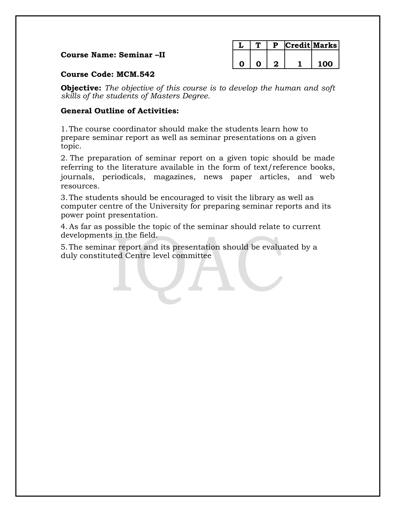# **Course Name: Seminar –II**

|  |  | Credit Marks |
|--|--|--------------|
|  |  |              |
|  |  | חח ו         |

# **Course Code: MCM.542**

**Objective:** *The objective of this course is to develop the human and soft skills of the students of Masters Degree.*

# **General Outline of Activities:**

1.The course coordinator should make the students learn how to prepare seminar report as well as seminar presentations on a given topic.

2. The preparation of seminar report on a given topic should be made referring to the literature available in the form of text/reference books, journals, periodicals, magazines, news paper articles, and web resources.

3.The students should be encouraged to visit the library as well as computer centre of the University for preparing seminar reports and its power point presentation.

4.As far as possible the topic of the seminar should relate to current developments in the field.

5.The seminar report and its presentation should be evaluated by a duly constituted Centre level committee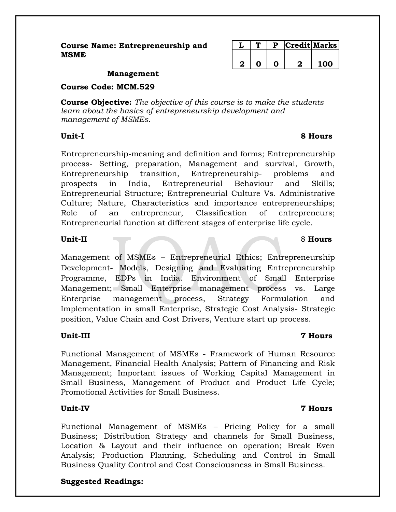**Course Name: Entrepreneurship and MSME**

|  |  | Credit Marks <sup> </sup> |
|--|--|---------------------------|
|  |  |                           |
|  |  | חחו                       |

## **Management**

**Course Code: MCM.529**

**Course Objective:** *The objective of this course is to make the students learn about the basics of entrepreneurship development and management of MSMEs.*

Entrepreneurship-meaning and definition and forms; Entrepreneurship process- Setting, preparation, Management and survival, Growth, Entrepreneurship transition, Entrepreneurship- problems and prospects in India, Entrepreneurial Behaviour and Skills; Entrepreneurial Structure; Entrepreneurial Culture Vs. Administrative Culture; Nature, Characteristics and importance entrepreneurships; Role of an entrepreneur, Classification of entrepreneurs; Entrepreneurial function at different stages of enterprise life cycle.

Management of MSMEs – Entrepreneurial Ethics; Entrepreneurship Development- Models, Designing and Evaluating Entrepreneurship Programme, EDPs in India. Environment of Small Enterprise Management; Small Enterprise management process vs. Large Enterprise management process, Strategy Formulation and Implementation in small Enterprise, Strategic Cost Analysis- Strategic position, Value Chain and Cost Drivers, Venture start up process.

# **Unit-III 7 Hours**

Functional Management of MSMEs - Framework of Human Resource Management, Financial Health Analysis; Pattern of Financing and Risk Management; Important issues of Working Capital Management in Small Business, Management of Product and Product Life Cycle; Promotional Activities for Small Business.

# **Unit-IV 7 Hours**

Functional Management of MSMEs – Pricing Policy for a small Business; Distribution Strategy and channels for Small Business, Location & Layout and their influence on operation; Break Even Analysis; Production Planning, Scheduling and Control in Small Business Quality Control and Cost Consciousness in Small Business.

# **Suggested Readings:**

# **Unit-I 8 Hours**

# **Unit-II** 8 **Hours**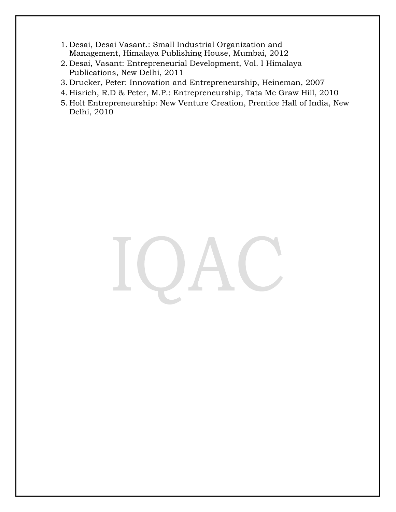- 1. Desai, Desai Vasant.: Small Industrial Organization and Management, Himalaya Publishing House, Mumbai, 2012
- 2. Desai, Vasant: Entrepreneurial Development, Vol. I Himalaya Publications, New Delhi, 2011
- 3. Drucker, Peter: Innovation and Entrepreneurship, Heineman, 2007
- 4. Hisrich, R.D & Peter, M.P.: Entrepreneurship, Tata Mc Graw Hill, 2010
- 5. Holt Entrepreneurship: New Venture Creation, Prentice Hall of India, New Delhi, 2010

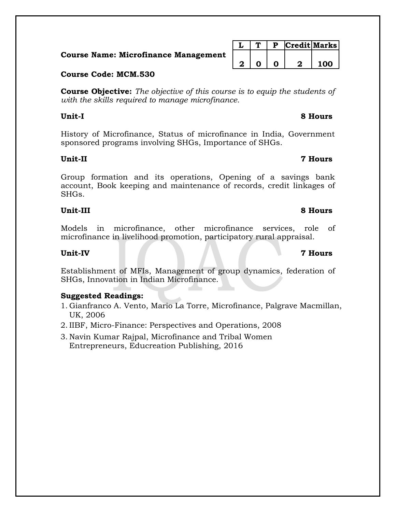**Course Name: Microfinance Managemen** 

# **Course Code: MCM.530**

**Course Objective:** *The objective of this course is to equip the students of with the skills required to manage microfinance.*

History of Microfinance, Status of microfinance in India, Government sponsored programs involving SHGs, Importance of SHGs.

# **Unit-II 7 Hours**

Group formation and its operations, Opening of a savings bank account, Book keeping and maintenance of records, credit linkages of SHGs.

# **Unit-III 8 Hours**

Models in microfinance, other microfinance services, role of microfinance in livelihood promotion, participatory rural appraisal.

Establishment of MFIs, Management of group dynamics, federation of SHGs, Innovation in Indian Microfinance.

# **Suggested Readings:**

- 1. Gianfranco A. Vento, Mario La Torre, Microfinance, Palgrave Macmillan, UK, 2006
- 2. IIBF, Micro-Finance: Perspectives and Operations, 2008
- 3. Navin Kumar Rajpal, Microfinance and Tribal Women Entrepreneurs, Educreation Publishing, 2016

|    |  |   | $\mid$ P $\mid$ Credit $\mid$ Marks |     |
|----|--|---|-------------------------------------|-----|
| nt |  |   |                                     |     |
|    |  | O |                                     | 100 |

# **Unit-IV 7 Hours**

# **Unit-I 8 Hours**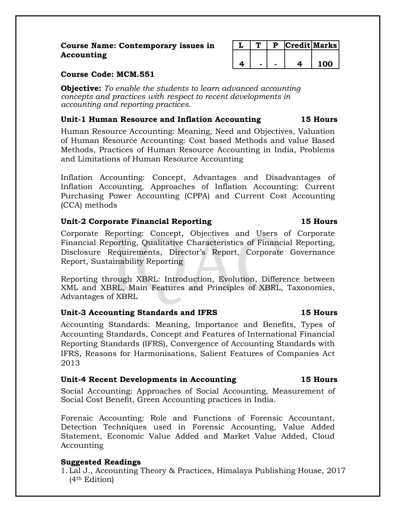# **Course Name: Contemporary issues in Accounting**

|  |  | Credit Marks |
|--|--|--------------|
|  |  |              |
|  |  | n            |

# **Course Code: MCM.551**

**Objective:** *To enable the students to learn advanced accounting concepts and practices with respect to recent developments in accounting and reporting practices.*

# **Unit-1 Human Resource and Inflation Accounting 15 Hours**

Human Resource Accounting: Meaning, Need and Objectives, Valuation of Human Resource Accounting: Cost based Methods and value Based Methods, Practices of Human Resource Accounting in India, Problems and Limitations of Human Resource Accounting

Inflation Accounting: Concept, Advantages and Disadvantages of Inflation Accounting, Approaches of Inflation Accounting: Current Purchasing Power Accounting (CPPA) and Current Cost Accounting (CCA) methods

# **Unit-2 Corporate Financial Reporting 15 Hours**

Corporate Reporting: Concept, Objectives and Users of Corporate Financial Reporting, Qualitative Characteristics of Financial Reporting, Disclosure Requirements, Director's Report, Corporate Governance Report, Sustainability Reporting

Reporting through XBRL: Introduction, Evolution, Difference between XML and XBRL, Main Features and Principles of XBRL, Taxonomies, Advantages of XBRL

# **Unit-3 Accounting Standards and IFRS 15 Hours**

Accounting Standards: Meaning, Importance and Benefits, Types of Accounting Standards, Concept and Features of International Financial Reporting Standards (IFRS), Convergence of Accounting Standards with IFRS, Reasons for Harmonisations, Salient Features of Companies Act 2013

# **Unit-4 Recent Developments in Accounting 15 Hours**

Social Accounting: Approaches of Social Accounting, Measurement of Social Cost Benefit, Green Accounting practices in India.

Forensic Accounting: Role and Functions of Forensic Accountant, Detection Techniques used in Forensic Accounting, Value Added Statement, Economic Value Added and Market Value Added, Cloud Accounting

# **Suggested Readings**

1. Lal J., Accounting Theory & Practices, Himalaya Publishing House, 2017 (4th Edition)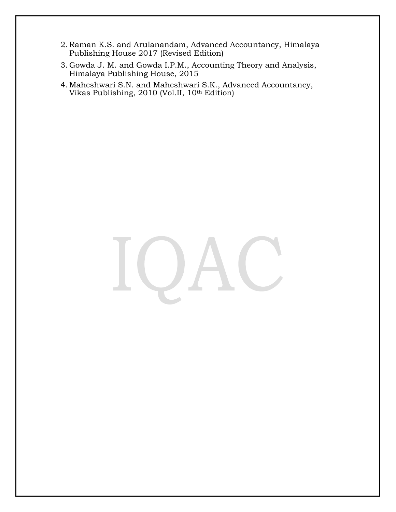- 2. Raman K.S. and Arulanandam, Advanced Accountancy, Himalaya Publishing House 2017 (Revised Edition)
- 3. Gowda J. M. and Gowda I.P.M., Accounting Theory and Analysis, Himalaya Publishing House, 2015
- 4. Maheshwari S.N. and Maheshwari S.K., Advanced Accountancy, Vikas Publishing, 2010 (Vol.II, 10th Edition)

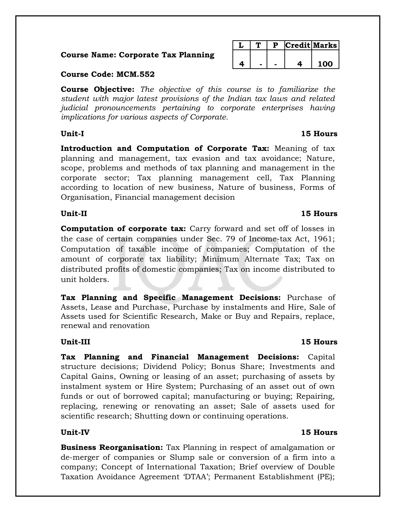# **Course Name: Corporate Tax Planning**

# **Course Code: MCM.552**

**Course Objective:** *The objective of this course is to familiarize the student with major latest provisions of the Indian tax laws and related judicial pronouncements pertaining to corporate enterprises having implications for various aspects of Corporate.*

**Introduction and Computation of Corporate Tax:** Meaning of tax planning and management, tax evasion and tax avoidance; Nature, scope, problems and methods of tax planning and management in the corporate sector; Tax planning management cell, Tax Planning according to location of new business, Nature of business, Forms of Organisation, Financial management decision

# **Unit-II 15 Hours**

**Computation of corporate tax:** Carry forward and set off of losses in the case of certain companies under Sec. 79 of Income-tax Act, 1961; Computation of taxable income of companies; Computation of the amount of corporate tax liability; Minimum Alternate Tax; Tax on distributed profits of domestic companies; Tax on income distributed to unit holders.

**Tax Planning and Specific Management Decisions:** Purchase of Assets, Lease and Purchase, Purchase by instalments and Hire, Sale of Assets used for Scientific Research, Make or Buy and Repairs, replace, renewal and renovation

**Tax Planning and Financial Management Decisions:** Capital structure decisions; Dividend Policy; Bonus Share; Investments and Capital Gains, Owning or leasing of an asset; purchasing of assets by instalment system or Hire System; Purchasing of an asset out of own funds or out of borrowed capital; manufacturing or buying; Repairing, replacing, renewing or renovating an asset; Sale of assets used for scientific research; Shutting down or continuing operations.

# **Unit-IV 15 Hours**

**Business Reorganisation:** Tax Planning in respect of amalgamation or de-merger of companies or Slump sale or conversion of a firm into a company; Concept of International Taxation; Brief overview of Double Taxation Avoidance Agreement 'DTAA'; Permanent Establishment (PE);

# **Unit-III 15 Hours**

# **Unit-I 15 Hours**

**L T P Credit Marks**

**4 - - 4 100**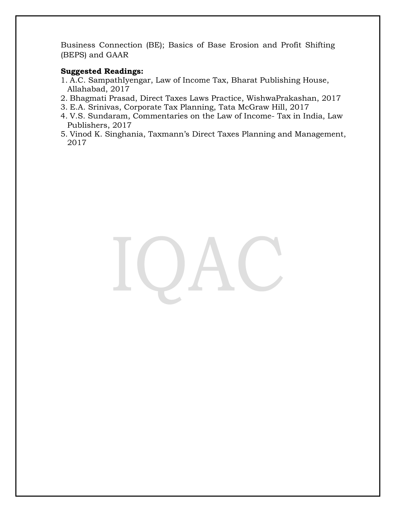Business Connection (BE); Basics of Base Erosion and Profit Shifting (BEPS) and GAAR

# **Suggested Readings:**

- 1. A.C. SampathIyengar, Law of Income Tax, Bharat Publishing House, Allahabad, 2017
- 2. Bhagmati Prasad, Direct Taxes Laws Practice, WishwaPrakashan, 2017
- 3. E.A. Srinivas, Corporate Tax Planning, Tata McGraw Hill, 2017
- 4. V.S. Sundaram, Commentaries on the Law of Income- Tax in India, Law Publishers, 2017
- 5. Vinod K. Singhania, Taxmann's Direct Taxes Planning and Management, 2017

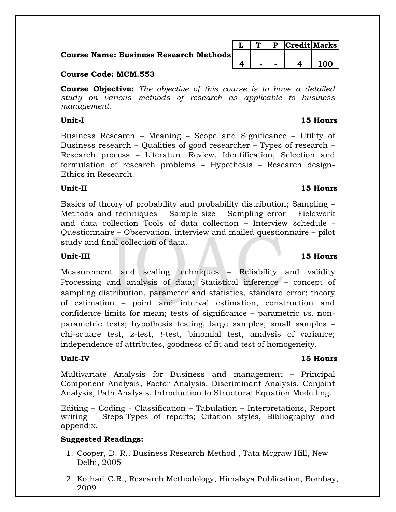**Course Name: Business Research** 

# **Course Code: MCM.553**

**Course Objective:** *The objective of this course is to have a detailed study on various methods of research as applicable to business management.*

Business Research – Meaning – Scope and Significance – Utility of Business research – Qualities of good researcher – Types of research – Research process – Literature Review, Identification, Selection and formulation of research problems – Hypothesis – Research design-Ethics in Research.

# **Unit-II 15 Hours**

Basics of theory of probability and probability distribution; Sampling – Methods and techniques – Sample size – Sampling error – Fieldwork and data collection Tools of data collection – Interview schedule - Questionnaire – Observation, interview and mailed questionnaire – pilot study and final collection of data.

# **Unit-III 15 Hours**

Measurement and scaling techniques – Reliability and validity Processing and analysis of data; Statistical inference – concept of sampling distribution, parameter and statistics, standard error; theory of estimation – point and interval estimation, construction and confidence limits for mean; tests of significance – parametric *vs.* nonparametric tests; hypothesis testing, large samples, small samples – chi-square test, *z*-test, *t*-test, binomial test, analysis of variance; independence of attributes, goodness of fit and test of homogeneity.

Multivariate Analysis for Business and management – Principal Component Analysis, Factor Analysis, Discriminant Analysis, Conjoint Analysis, Path Analysis, Introduction to Structural Equation Modelling.

Editing – Coding - Classification – Tabulation – Interpretations, Report writing – Steps-Types of reports; Citation styles, Bibliography and appendix.

# **Suggested Readings:**

- 1. Cooper, D. R., Business Research Method , Tata Mcgraw Hill, New Delhi, 2005
- 2. Kothari C.R., Research Methodology, Himalaya Publication, Bombay, 2009

|           |  | P. | $ {\bf Credit} $ Marks |  |
|-----------|--|----|------------------------|--|
| h Methods |  |    |                        |  |
|           |  |    |                        |  |

# **Unit-IV 15 Hours**

# **Unit-I 15 Hours**

| ., | - | – | 100 |
|----|---|---|-----|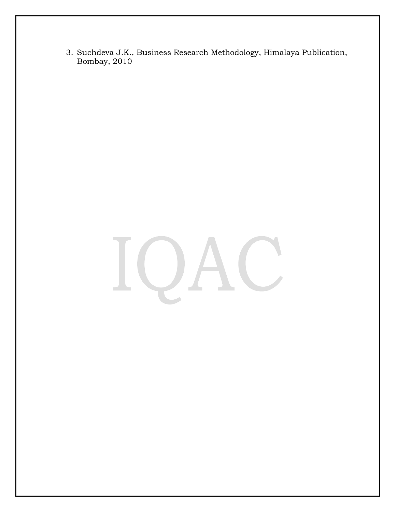3. Suchdeva J.K., Business Research Methodology, Himalaya Publication, Bombay, 2010

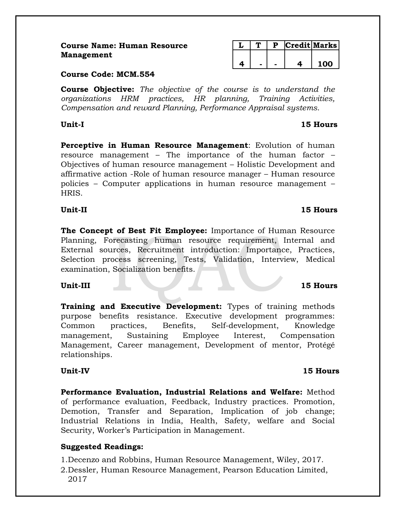| <b>Course Name: Human Resource</b> |  |
|------------------------------------|--|
| Management                         |  |

|  |  | Credit Marks |
|--|--|--------------|
|  |  |              |
|  |  | 100 L        |

# **Course Code: MCM.554**

**Course Objective:** *The objective of the course is to understand the organizations HRM practices, HR planning, Training Activities, Compensation and reward Planning, Performance Appraisal systems.*

**Perceptive in Human Resource Management**: Evolution of human resource management – The importance of the human factor – Objectives of human resource management – Holistic Development and affirmative action -Role of human resource manager – Human resource policies – Computer applications in human resource management – HRIS.

# **Unit-II 15 Hours**

**The Concept of Best Fit Employee:** Importance of Human Resource Planning, Forecasting human resource requirement, Internal and External sources, Recruitment introduction: Importance, Practices, Selection process screening, Tests, Validation, Interview, Medical examination, Socialization benefits.

# **Unit-III 15 Hours**

**Training and Executive Development:** Types of training methods purpose benefits resistance. Executive development programmes: Common practices, Benefits, Self-development, Knowledge management, Sustaining Employee Interest, Compensation Management, Career management, Development of mentor, Protégé relationships.

**Performance Evaluation, Industrial Relations and Welfare:** Method of performance evaluation, Feedback, Industry practices. Promotion, Demotion, Transfer and Separation, Implication of job change; Industrial Relations in India, Health, Safety, welfare and Social Security, Worker's Participation in Management.

# **Suggested Readings:**

1.Decenzo and Robbins, Human Resource Management, Wiley, 2017.

2.Dessler, Human Resource Management, Pearson Education Limited, 2017

# **Unit-I 15 Hours**

# **Unit-IV 15 Hours**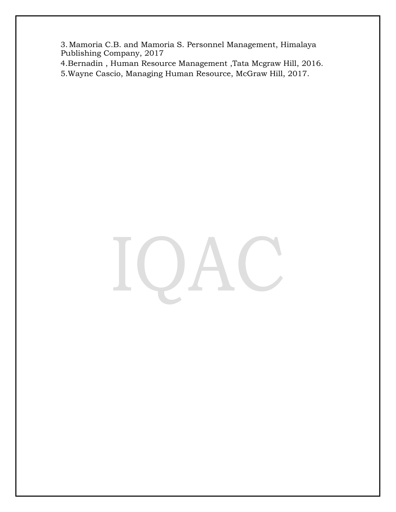3.Mamoria C.B. and Mamoria S. Personnel Management, Himalaya Publishing Company, 2017

4.Bernadin , Human Resource Management ,Tata Mcgraw Hill, 2016.

5.Wayne Cascio, Managing Human Resource, McGraw Hill, 2017.

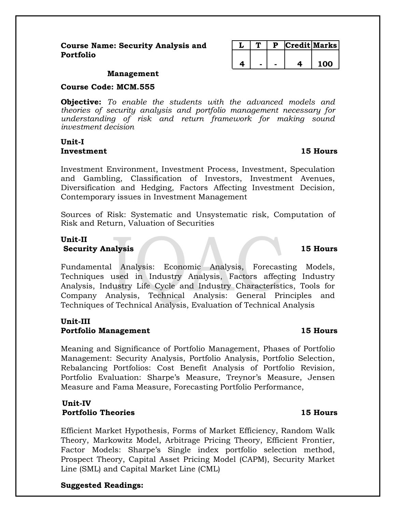|  | D | Credit Marks |     |
|--|---|--------------|-----|
|  |   |              |     |
|  |   |              | 100 |

## **Management**

**Course Code: MCM.555**

**Objective:** *To enable the students with the advanced models and theories of security analysis and portfolio management necessary for understanding of risk and return framework for making sound investment decision*

# **Unit-I Investment 15 Hours**

Investment Environment, Investment Process, Investment, Speculation and Gambling, Classification of Investors, Investment Avenues, Diversification and Hedging, Factors Affecting Investment Decision, Contemporary issues in Investment Management

Sources of Risk: Systematic and Unsystematic risk, Computation of Risk and Return, Valuation of Securities

# **Unit-II Security Analysis 15 Hours**

Fundamental Analysis: Economic Analysis, Forecasting Models, Techniques used in Industry Analysis, Factors affecting Industry Analysis, Industry Life Cycle and Industry Characteristics, Tools for Company Analysis, Technical Analysis: General Principles and Techniques of Technical Analysis, Evaluation of Technical Analysis

# **Unit-III Portfolio Management 15 Hours**

Meaning and Significance of Portfolio Management, Phases of Portfolio Management: Security Analysis, Portfolio Analysis, Portfolio Selection, Rebalancing Portfolios: Cost Benefit Analysis of Portfolio Revision, Portfolio Evaluation: Sharpe's Measure, Treynor's Measure, Jensen Measure and Fama Measure, Forecasting Portfolio Performance,

# **Unit-IV Portfolio Theories 15 Hours**

Efficient Market Hypothesis, Forms of Market Efficiency, Random Walk Theory, Markowitz Model, Arbitrage Pricing Theory, Efficient Frontier, Factor Models: Sharpe's Single index portfolio selection method, Prospect Theory, Capital Asset Pricing Model (CAPM), Security Market Line (SML) and Capital Market Line (CML)

# **Suggested Readings:**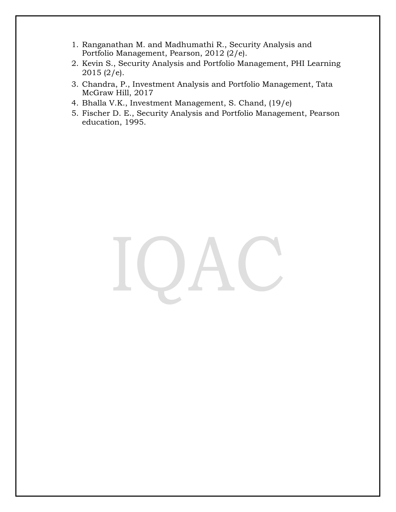- 1. Ranganathan M. and Madhumathi R., Security Analysis and Portfolio Management, Pearson, 2012 (2/e).
- 2. Kevin S., Security Analysis and Portfolio Management, PHI Learning  $2015$  (2/e).
- 3. Chandra, P., Investment Analysis and Portfolio Management, Tata McGraw Hill, 2017
- 4. Bhalla V.K., Investment Management, S. Chand, (19/e)
- 5. Fischer D. E., Security Analysis and Portfolio Management, Pearson education, 1995.

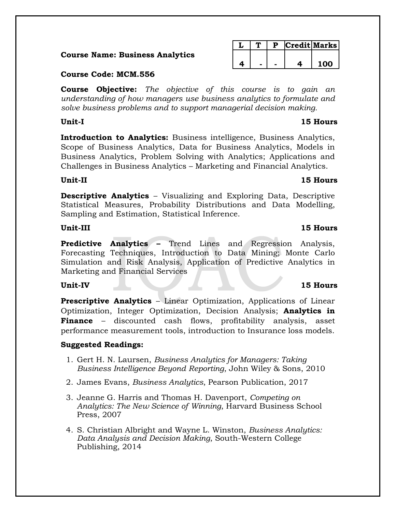# **Course Name: Business Analytics**

# **Course Code: MCM.556**

**Course Objective:** *The objective of this course is to gain an understanding of how managers use business analytics to formulate and solve business problems and to support managerial decision making.*

**Introduction to Analytics:** Business intelligence, Business Analytics, Scope of Business Analytics, Data for Business Analytics, Models in Business Analytics, Problem Solving with Analytics; Applications and Challenges in Business Analytics – Marketing and Financial Analytics.

**Descriptive Analytics** – Visualizing and Exploring Data, Descriptive Statistical Measures, Probability Distributions and Data Modelling, Sampling and Estimation, Statistical Inference.

# **Unit-III 15 Hours**

**Predictive Analytics –** Trend Lines and Regression Analysis, Forecasting Techniques, Introduction to Data Mining; Monte Carlo Simulation and Risk Analysis, Application of Predictive Analytics in Marketing and Financial Services

**Prescriptive Analytics – Linear Optimization, Applications of Linear** Optimization, Integer Optimization, Decision Analysis; **Analytics in Finance** – discounted cash flows, profitability analysis, asset performance measurement tools, introduction to Insurance loss models.

# **Suggested Readings:**

- 1. Gert H. N. Laursen, *Business Analytics for Managers: Taking Business Intelligence Beyond Reporting*, John Wiley & Sons, 2010
- 2. James Evans, *Business Analytics*, Pearson Publication, 2017
- 3. Jeanne G. Harris and Thomas H. Davenport, *Competing on Analytics: The New Science of Winning*, Harvard Business School Press, 2007
- 4. S. Christian Albright and Wayne L. Winston, *Business Analytics: Data Analysis and Decision Making*, South-Western College Publishing, 2014

|  |  | <b>Credit Marks</b> |
|--|--|---------------------|
|  |  |                     |
|  |  | 100                 |

# **Unit-II 15 Hours**

# **Unit-IV 15 Hours**

# **Unit-I 15 Hours**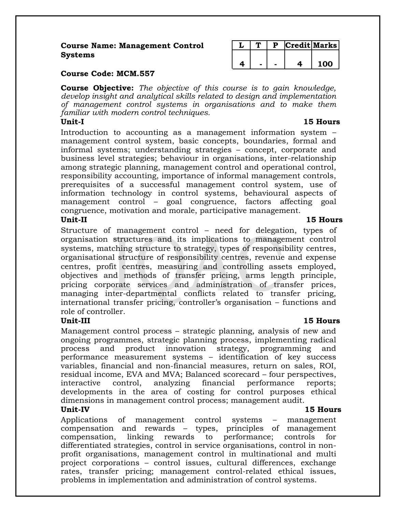# **Course Name: Management Control Systems**

|  |  | redit Marks |
|--|--|-------------|
|  |  |             |
|  |  | ⋂           |

# **Course Code: MCM.557**

**Course Objective:** *The objective of this course is to gain knowledge, develop insight and analytical skills related to design and implementation of management control systems in organisations and to make them familiar with modern control techniques.*

Introduction to accounting as a management information system – management control system, basic concepts, boundaries, formal and informal systems; understanding strategies – concept, corporate and business level strategies; behaviour in organisations, inter-relationship among strategic planning, management control and operational control, responsibility accounting, importance of informal management controls, prerequisites of a successful management control system, use of information technology in control systems, behavioural aspects of management control – goal congruence, factors affecting goal congruence, motivation and morale, participative management. **Unit-II 15 Hours**

Structure of management control – need for delegation, types of organisation structures and its implications to management control systems, matching structure to strategy, types of responsibility centres, organisational structure of responsibility centres, revenue and expense centres, profit centres, measuring and controlling assets employed, objectives and methods of transfer pricing, arms length principle, pricing corporate services and administration of transfer prices, managing inter-departmental conflicts related to transfer pricing, international transfer pricing, controller's organisation – functions and role of controller.

Management control process – strategic planning, analysis of new and ongoing programmes, strategic planning process, implementing radical process and product innovation strategy, programming and performance measurement systems – identification of key success variables, financial and non-financial measures, return on sales, ROI, residual income, EVA and MVA; Balanced scorecard – four perspectives, interactive control, analyzing financial performance reports; developments in the area of costing for control purposes ethical dimensions in management control process; management audit.

# **Unit-IV 15 Hours**

Applications of management control systems – management compensation and rewards – types, principles of management compensation, linking rewards to performance; controls for differentiated strategies, control in service organisations, control in nonprofit organisations, management control in multinational and multi project corporations – control issues, cultural differences, exchange rates, transfer pricing; management control-related ethical issues, problems in implementation and administration of control systems.

# **Unit-III 15 Hours**

# **Unit-I 15 Hours**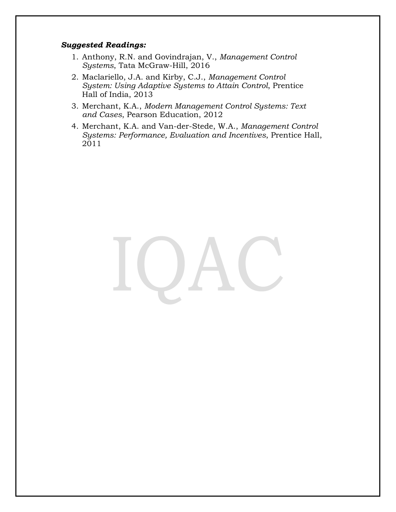## *Suggested Readings:*

- 1. Anthony, R.N. and Govindrajan, V., *Management Control Systems*, Tata McGraw-Hill, 2016
- 2. Maclariello, J.A. and Kirby, C.J., *Management Control System: Using Adaptive Systems to Attain Control*, Prentice Hall of India, 2013
- 3. Merchant, K.A., *Modern Management Control Systems: Text and Cases*, Pearson Education, 2012
- 4. Merchant, K.A. and Van-der-Stede, W.A., *Management Control Systems: Performance, Evaluation and Incentives*, Prentice Hall, 2011

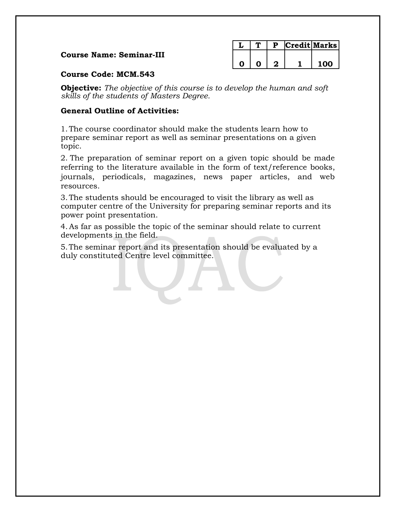# **Course Name: Seminar-III**

|  |  | Credit Marks |
|--|--|--------------|
|  |  |              |
|  |  | 1 ሰሰ         |

# **Course Code: MCM.543**

**Objective:** *The objective of this course is to develop the human and soft skills of the students of Masters Degree.*

# **General Outline of Activities:**

1.The course coordinator should make the students learn how to prepare seminar report as well as seminar presentations on a given topic.

2. The preparation of seminar report on a given topic should be made referring to the literature available in the form of text/reference books, journals, periodicals, magazines, news paper articles, and web resources.

3.The students should be encouraged to visit the library as well as computer centre of the University for preparing seminar reports and its power point presentation.

4.As far as possible the topic of the seminar should relate to current developments in the field.

5.The seminar report and its presentation should be evaluated by a duly constituted Centre level committee.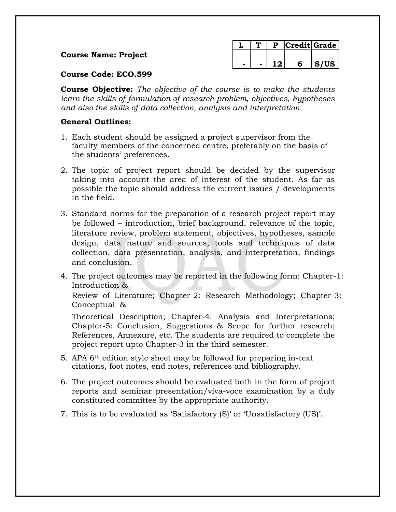# **Course Name: Project**

|  |  | Credit   Grade |
|--|--|----------------|
|  |  |                |
|  |  | S/US           |

# **Course Code: ECO.599**

**Course Objective:** *The objective of the course is to make the students learn the skills of formulation of research problem, objectives, hypotheses and also the skills of data collection, analysis and interpretation.*

# **General Outlines:**

- 1. Each student should be assigned a project supervisor from the faculty members of the concerned centre, preferably on the basis of the students' preferences.
- 2. The topic of project report should be decided by the supervisor taking into account the area of interest of the student. As far as possible the topic should address the current issues / developments in the field.
- 3. Standard norms for the preparation of a research project report may be followed – introduction, brief background, relevance of the topic, literature review, problem statement, objectives, hypotheses, sample design, data nature and sources, tools and techniques of data collection, data presentation, analysis, and interpretation, findings and conclusion.
- 4. The project outcomes may be reported in the following form: Chapter-1: Introduction &

Review of Literature; Chapter-2: Research Methodology; Chapter-3: Conceptual &

Theoretical Description; Chapter-4: Analysis and Interpretations; Chapter-5: Conclusion, Suggestions & Scope for further research; References, Annexure, etc. The students are required to complete the project report upto Chapter-3 in the third semester.

- 5. APA 6th edition style sheet may be followed for preparing in-text citations, foot notes, end notes, references and bibliography.
- 6. The project outcomes should be evaluated both in the form of project reports and seminar presentation/viva-voce examination by a duly constituted committee by the appropriate authority.
- 7. This is to be evaluated as 'Satisfactory (S)' or 'Unsatisfactory (US)'.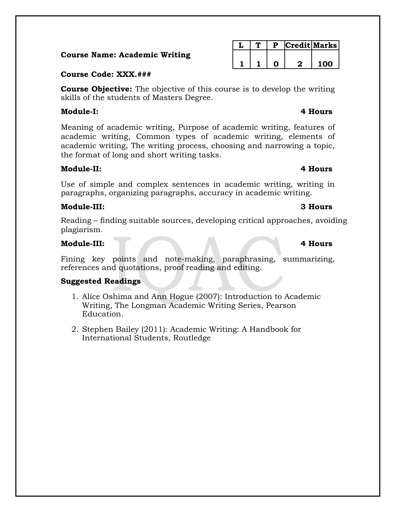# **Course Name: Academic Writing**

# **Course Code: XXX.###**

**Course Objective:** The objective of this course is to develop the writing skills of the students of Masters Degree.

# **Module-I: 4 Hours**

Meaning of academic writing, Purpose of academic writing, features of academic writing, Common types of academic writing, elements of academic writing, The writing process, choosing and narrowing a topic, the format of long and short writing tasks.

# **Module-II: 4 Hours**

Use of simple and complex sentences in academic writing, writing in paragraphs, organizing paragraphs, accuracy in academic writing.

# **Module-III: 3 Hours**

Reading – finding suitable sources, developing critical approaches, avoiding plagiarism.

# **Module-III: 4 Hours**

Fining key points and note-making, paraphrasing, summarizing, references and quotations, proof reading and editing.

# **Suggested Readings**

- 1. Alice Oshima and Ann Hogue (2007): Introduction to Academic Writing, The Longman Academic Writing Series, Pearson Education.
- 2. Stephen Bailey (2011): Academic Writing: A Handbook for International Students, Routledge

# **L T P Credit Marks 1 1 0 2 100**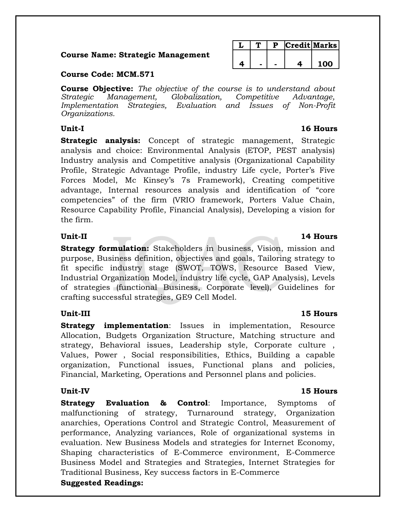# **Course Name: Strategic Management**

|  |  | <b>Credit Marks</b> |
|--|--|---------------------|
|  |  |                     |
|  |  | ∩∩                  |

# **Course Code: MCM.571**

**Course Objective:** *The objective of the course is to understand about Strategic Management, Globalization, Competitive Advantage, Implementation Strategies, Evaluation and Issues of Non-Profit Organizations.*

**Strategic analysis:** Concept of strategic management, Strategic analysis and choice: Environmental Analysis (ETOP, PEST analysis) Industry analysis and Competitive analysis (Organizational Capability Profile, Strategic Advantage Profile, industry Life cycle, Porter's Five Forces Model, Mc Kinsey's 7s Framework), Creating competitive advantage, Internal resources analysis and identification of "core competencies" of the firm (VRIO framework, Porters Value Chain, Resource Capability Profile, Financial Analysis), Developing a vision for the firm.

**Strategy formulation:** Stakeholders in business, Vision, mission and purpose, Business definition, objectives and goals, Tailoring strategy to fit specific industry stage (SWOT, TOWS, Resource Based View, Industrial Organization Model, industry life cycle, GAP Analysis), Levels of strategies (functional Business, Corporate level), Guidelines for crafting successful strategies, GE9 Cell Model.

# **Unit-III 15 Hours**

**Strategy implementation**: Issues in implementation, Resource Allocation, Budgets Organization Structure, Matching structure and strategy, Behavioral issues, Leadership style, Corporate culture , Values, Power , Social responsibilities, Ethics, Building a capable organization, Functional issues, Functional plans and policies, Financial, Marketing, Operations and Personnel plans and policies.

# **Unit-IV 15 Hours**

**Strategy Evaluation & Control**: Importance, Symptoms of malfunctioning of strategy, Turnaround strategy, Organization anarchies, Operations Control and Strategic Control, Measurement of performance, Analyzing variances, Role of organizational systems in evaluation. New Business Models and strategies for Internet Economy, Shaping characteristics of E-Commerce environment, E-Commerce Business Model and Strategies and Strategies, Internet Strategies for Traditional Business, Key success factors in E-Commerce **Suggested Readings:**

# **Unit-II 14 Hours**

# **Unit-I 16 Hours**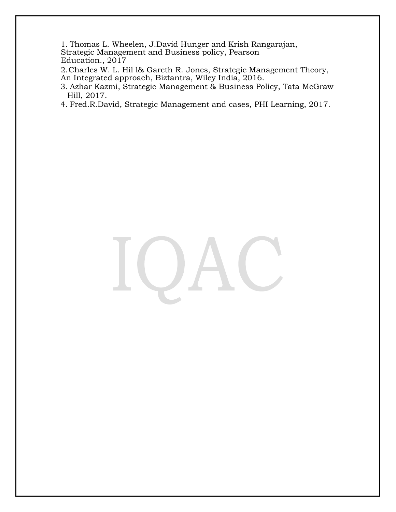1. Thomas L. Wheelen, J.David Hunger and Krish Rangarajan,

Strategic Management and Business policy, Pearson Education., 2017

2.Charles W. L. Hil l& Gareth R. Jones, Strategic Management Theory, An Integrated approach, Biztantra, Wiley India, 2016.

- 3. Azhar Kazmi, Strategic Management & Business Policy, Tata McGraw Hill, 2017.
- 4. Fred.R.David, Strategic Management and cases, PHI Learning, 2017.

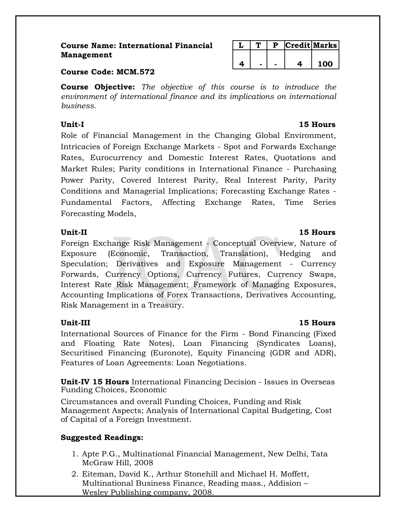# **Course Name: International Financial Management**

|  | D | redit Marks |
|--|---|-------------|
|  |   |             |
|  |   | ŋ           |

# **Course Code: MCM.572**

**Course Objective:** *The objective of this course is to introduce the environment of international finance and its implications on international business.*

Role of Financial Management in the Changing Global Environment, Intricacies of Foreign Exchange Markets - Spot and Forwards Exchange Rates, Eurocurrency and Domestic Interest Rates, Quotations and Market Rules; Parity conditions in International Finance - Purchasing Power Parity, Covered Interest Parity, Real Interest Parity, Parity Conditions and Managerial Implications; Forecasting Exchange Rates - Fundamental Factors, Affecting Exchange Rates, Time Series Forecasting Models,

Foreign Exchange Risk Management - Conceptual Overview, Nature of Exposure (Economic, Transaction, Translation), Hedging and Speculation; Derivatives and Exposure Management - Currency Forwards, Currency Options, Currency Futures, Currency Swaps, Interest Rate Risk Management; Framework of Managing Exposures, Accounting Implications of Forex Transactions, Derivatives Accounting, Risk Management in a Treasury.

International Sources of Finance for the Firm - Bond Financing (Fixed and Floating Rate Notes), Loan Financing (Syndicates Loans), Securitised Financing (Euronote), Equity Financing (GDR and ADR), Features of Loan Agreements: Loan Negotiations.

**Unit-IV 15 Hours** International Financing Decision - Issues in Overseas Funding Choices, Economic

Circumstances and overall Funding Choices, Funding and Risk Management Aspects; Analysis of International Capital Budgeting, Cost of Capital of a Foreign Investment.

# **Suggested Readings:**

- 1. Apte P.G., Multinational Financial Management, New Delhi, Tata McGraw Hill, 2008
- 2. Eiteman, David K., Arthur Stonehill and Michael H. Moffett, Multinational Business Finance, Reading mass., Addision – Wesley Publishing company, 2008.

# **Unit-I 15 Hours**

# **Unit-II 15 Hours**

# **Unit-III 15 Hours**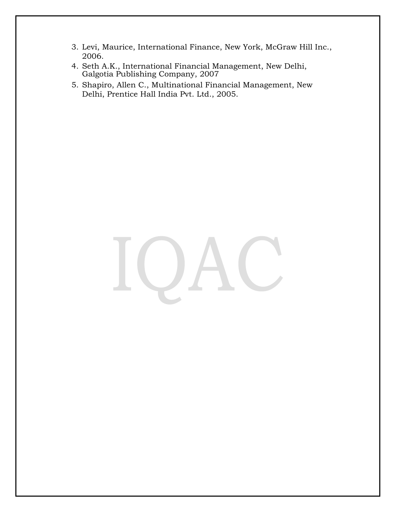- 3. Levi, Maurice, International Finance, New York, McGraw Hill Inc., 2006.
- 4. Seth A.K., International Financial Management, New Delhi, Galgotia Publishing Company, 2007
- 5. Shapiro, Allen C., Multinational Financial Management, New Delhi, Prentice Hall India Pvt. Ltd., 2005.

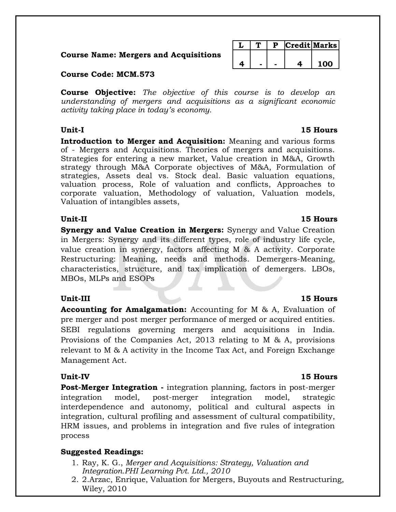**Course Name: Mergers and Acquisitions**

**Course Code: MCM.573**

**Course Objective:** *The objective of this course is to develop an understanding of mergers and acquisitions as a significant economic activity taking place in today's economy.*

**Introduction to Merger and Acquisition:** Meaning and various forms of - Mergers and Acquisitions. Theories of mergers and acquisitions. Strategies for entering a new market, Value creation in M&A, Growth strategy through M&A Corporate objectives of M&A, Formulation of strategies, Assets deal vs. Stock deal. Basic valuation equations, valuation process, Role of valuation and conflicts, Approaches to corporate valuation, Methodology of valuation, Valuation models, Valuation of intangibles assets,

# **Unit-II 15 Hours**

**Synergy and Value Creation in Mergers:** Synergy and Value Creation in Mergers: Synergy and its different types, role of industry life cycle, value creation in synergy, factors affecting M & A activity. Corporate Restructuring: Meaning, needs and methods. Demergers-Meaning, characteristics, structure, and tax implication of demergers. LBOs, MBOs, MLPs and ESOPs

# **Unit-III 15 Hours**

**Accounting for Amalgamation:** Accounting for M & A, Evaluation of pre merger and post merger performance of merged or acquired entities. SEBI regulations governing mergers and acquisitions in India. Provisions of the Companies Act, 2013 relating to M & A, provisions relevant to M & A activity in the Income Tax Act, and Foreign Exchange Management Act.

# **Unit-IV 15 Hours**

**Post-Merger Integration -** integration planning, factors in post-merger integration model, post-merger integration model, strategic interdependence and autonomy, political and cultural aspects in integration, cultural profiling and assessment of cultural compatibility, HRM issues, and problems in integration and five rules of integration process

# **Suggested Readings:**

- 1. Ray, K. G., *Merger and Acquisitions: Strategy, Valuation and Integration.PHI Learning Pvt. Ltd., 2010*
- 2. 2.Arzac, Enrique, Valuation for Mergers, Buyouts and Restructuring, Wiley, 2010

# **Unit-I 15 Hours**

# **4 - - 4 100**

**L T P Credit Marks**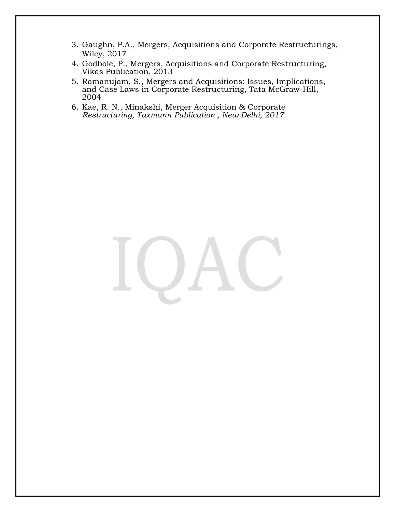- 3. Gaughn, P.A., Mergers, Acquisitions and Corporate Restructurings, Wiley, 2017
- 4. Godbole, P., Mergers, Acquisitions and Corporate Restructuring, Vikas Publication, 2013
- 5. Ramanujam, S., Mergers and Acquisitions: Issues, Implications, and Case Laws in Corporate Restructuring, Tata McGraw-Hill, 2004
- 6. Kae, R. N., Minakshi, Merger Acquisition & Corporate *Restructuring, Taxmann Publication , New Delhi, 2017*

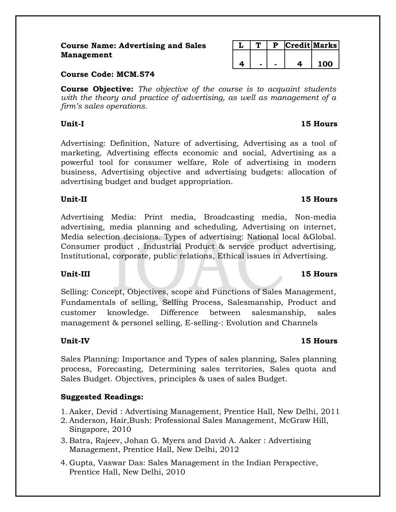# **Course Name: Advertising and Sales Management**

|  | Credit Marks |    |
|--|--------------|----|
|  |              |    |
|  |              | ഥറ |

# **Course Code: MCM.574**

**Course Objective:** *The objective of the course is to acquaint students with the theory and practice of advertising, as well as management of a firm's sales operations.*

Advertising: Definition, Nature of advertising, Advertising as a tool of marketing, Advertising effects economic and social, Advertising as a powerful tool for consumer welfare, Role of advertising in modern business, Advertising objective and advertising budgets: allocation of advertising budget and budget appropriation.

# **Unit-II 15 Hours**

Advertising Media: Print media, Broadcasting media, Non-media advertising, media planning and scheduling, Advertising on internet, Media selection decisions. Types of advertising: National local &Global. Consumer product , Industrial Product & service product advertising, Institutional, corporate, public relations, Ethical issues in Advertising.

# **Unit-III 15 Hours**

Selling: Concept, Objectives, scope and Functions of Sales Management, Fundamentals of selling, Selling Process, Salesmanship, Product and customer knowledge. Difference between salesmanship, sales management & personel selling, E-selling-: Evolution and Channels

# **Unit-IV 15 Hours**

Sales Planning: Importance and Types of sales planning, Sales planning process, Forecasting, Determining sales territories, Sales quota and Sales Budget. Objectives, principles & uses of sales Budget.

# **Suggested Readings:**

- 1. Aaker, Devid : Advertising Management, Prentice Hall, New Delhi, 2011
- 2. Anderson, Hair,Bush: Professional Sales Management, McGraw Hill, Singapore, 2010
- 3. Batra, Rajeev, Johan G. Myers and David A. Aaker : Advertising Management, Prentice Hall, New Delhi, 2012
- 4. Gupta, Vaswar Das: Sales Management in the Indian Perspective, Prentice Hall, New Delhi, 2010

# **Unit-I 15 Hours**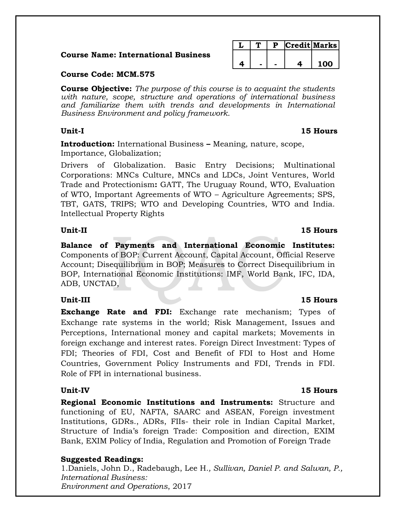# **Course Name: International Business**

|  |  | Credit Marks |
|--|--|--------------|
|  |  |              |
|  |  | חח ו         |

# **Course Code: MCM.575**

**Course Objective:** *The purpose of this course is to acquaint the students with nature, scope, structure and operations of international business and familiarize them with trends and developments in International Business Environment and policy framework.*

**Introduction:** International Business **–** Meaning, nature, scope, Importance, Globalization;

Drivers of Globalization. Basic Entry Decisions; Multinational Corporations: MNCs Culture, MNCs and LDCs, Joint Ventures, World Trade and Protectionism**:** GATT, The Uruguay Round, WTO, Evaluation of WTO, Important Agreements of WTO – Agriculture Agreements; SPS, TBT, GATS, TRIPS; WTO and Developing Countries, WTO and India. Intellectual Property Rights

## **Unit-II 15 Hours**

**Balance of Payments and International Economic Institutes:**  Components of BOP: Current Account, Capital Account, Official Reserve Account; Disequilibrium in BOP; Measures to Correct Disequilibrium in BOP, International Economic Institutions: IMF, World Bank, IFC, IDA, ADB, UNCTAD,

**Exchange Rate and FDI:** Exchange rate mechanism; Types of Exchange rate systems in the world; Risk Management, Issues and Perceptions, International money and capital markets; Movements in foreign exchange and interest rates. Foreign Direct Investment: Types of FDI; Theories of FDI, Cost and Benefit of FDI to Host and Home Countries, Government Policy Instruments and FDI, Trends in FDI. Role of FPI in international business.

**Regional Economic Institutions and Instruments:** Structure and functioning of EU, NAFTA, SAARC and ASEAN, Foreign investment Institutions, GDRs., ADRs, FIIs- their role in Indian Capital Market, Structure of India's foreign Trade: Composition and direction, EXIM Bank, EXIM Policy of India, Regulation and Promotion of Foreign Trade

# **Suggested Readings:**

1.Daniels, John D., Radebaugh, Lee H*., Sullivan, Daniel P. and Salwan, P., International Business: Environment and Operations*, 2017

# **Unit-III 15 Hours**

## **Unit-IV 15 Hours**

# **Unit-I 15 Hours**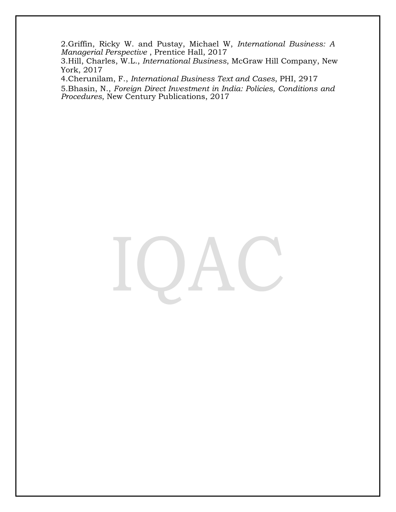2.Griffin, Ricky W. and Pustay, Michael W, *International Business: A Managerial Perspective* , Prentice Hall, 2017

3.Hill, Charles, W.L., *International Business*, McGraw Hill Company, New York, 2017

4.Cherunilam, F., *International Business Text and Cases*, PHI, 2917 5.Bhasin, N., *Foreign Direct Investment in India: Policies, Conditions and Procedures*, New Century Publications, 2017

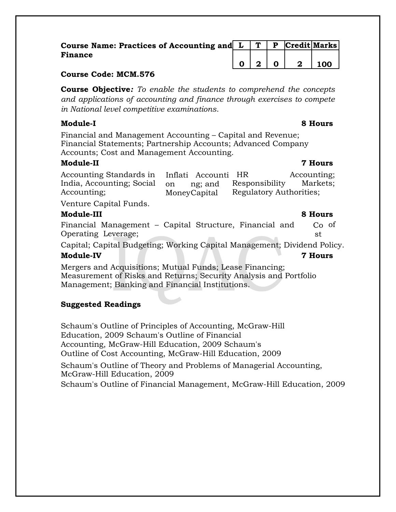| Course Name: Practices of Accounting and $L   T   P  $ Credit Marks |  |       |       |
|---------------------------------------------------------------------|--|-------|-------|
| <b>Finance</b>                                                      |  |       |       |
|                                                                     |  | 0 2 0 | 2 100 |

# **Course Code: MCM.576**

**Course Objective***: To enable the students to comprehend the concepts and applications of accounting and finance through exercises to compete in National level competitive examinations*.

# **Module-I 8 Hours**

Financial and Management Accounting – Capital and Revenue; Financial Statements; Partnership Accounts; Advanced Company Accounts; Cost and Management Accounting.

# **Module-II 7 Hours**

| Accounting Standards in Inflati Accounti HR                                                                                                                                                                                                                                                                                        |              |                         | Accounting; |
|------------------------------------------------------------------------------------------------------------------------------------------------------------------------------------------------------------------------------------------------------------------------------------------------------------------------------------|--------------|-------------------------|-------------|
| India, Accounting; Social on                                                                                                                                                                                                                                                                                                       | ng; and      | Responsibility          | Markets;    |
| Accounting;                                                                                                                                                                                                                                                                                                                        | MoneyCapital | Regulatory Authorities; |             |
| $\mathbf{v}$ $\mathbf{v}$ $\mathbf{v}$ $\mathbf{v}$ $\mathbf{v}$ $\mathbf{v}$ $\mathbf{v}$ $\mathbf{v}$ $\mathbf{v}$ $\mathbf{v}$ $\mathbf{v}$ $\mathbf{v}$ $\mathbf{v}$ $\mathbf{v}$ $\mathbf{v}$ $\mathbf{v}$ $\mathbf{v}$ $\mathbf{v}$ $\mathbf{v}$ $\mathbf{v}$ $\mathbf{v}$ $\mathbf{v}$ $\mathbf{v}$ $\mathbf{v}$ $\mathbf{$ |              |                         |             |

Venture Capital Funds.

# **Module-III 8 Hours**

Financial Management – Capital Structure, Financial and Operating Leverage; Co of st

Capital; Capital Budgeting; Working Capital Management; Dividend Policy.

# **Module-IV 7 Hours**

Mergers and Acquisitions; Mutual Funds; Lease Financing; Measurement of Risks and Returns; Security Analysis and Portfolio Management; Banking and Financial Institutions.

# **Suggested Readings**

Schaum's Outline of Principles of Accounting, McGraw-Hill Education, 2009 Schaum's Outline of Financial Accounting, McGraw-Hill Education, 2009 Schaum's Outline of Cost Accounting, McGraw-Hill Education, 2009

Schaum's Outline of Theory and Problems of Managerial Accounting, McGraw-Hill Education, 2009

Schaum's Outline of Financial Management, McGraw-Hill Education, 2009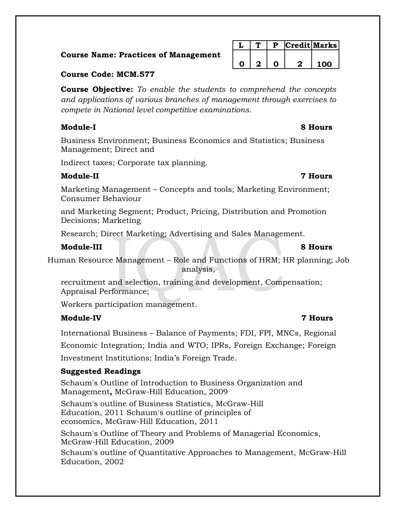# **Course Name: Practices of Management**

# **Course Code: MCM.577**

**Course Objective:** *To enable the students to comprehend the concepts and applications of various branches of management through exercises to compete in National level competitive examinations*.

# **Module-I 8 Hours**

Business Environment; Business Economics and Statistics; Business Management; Direct and

Indirect taxes; Corporate tax planning.

# **Module-II 7 Hours**

Marketing Management – Concepts and tools; Marketing Environment; Consumer Behaviour

and Marketing Segment; Product, Pricing, Distribution and Promotion Decisions; Marketing

Research; Direct Marketing; Advertising and Sales Management.

# **Module-III 8 Hours**

Human Resource Management – Role and Functions of HRM; HR planning; Job analysis,

recruitment and selection, training and development, Compensation; Appraisal Performance;

Workers participation management.

# **Module-IV 7 Hours**

International Business – Balance of Payments; FDI, FPI, MNCs, Regional Economic Integration; India and WTO; IPRs, Foreign Exchange; Foreign Investment Institutions; India's Foreign Trade.

# **Suggested Readings**

Schaum's Outline of Introduction to Business Organization and Management**,** McGraw-Hill Education, 2009

Schaum's outline of Business Statistics, McGraw-Hill Education, 2011 Schaum's outline of principles of economics, McGraw-Hill Education, 2011

Schaum's Outline of Theory and Problems of Managerial Economics, McGraw-Hill Education, 2009

Schaum's outline of Quantitative Approaches to Management, McGraw-Hill Education, 2002

**0 2 0 2 100**

**L T P Credit Marks**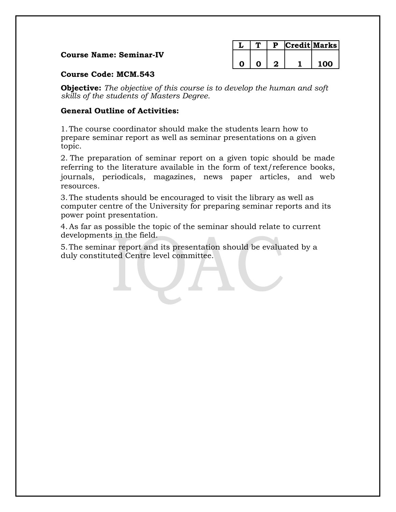# **Course Name: Seminar-IV**

|  |  | Credit Marks |
|--|--|--------------|
|  |  |              |
|  |  | ററ           |

# **Course Code: MCM.543**

**Objective:** *The objective of this course is to develop the human and soft skills of the students of Masters Degree.*

# **General Outline of Activities:**

1.The course coordinator should make the students learn how to prepare seminar report as well as seminar presentations on a given topic.

2. The preparation of seminar report on a given topic should be made referring to the literature available in the form of text/reference books, journals, periodicals, magazines, news paper articles, and web resources.

3.The students should be encouraged to visit the library as well as computer centre of the University for preparing seminar reports and its power point presentation.

4.As far as possible the topic of the seminar should relate to current developments in the field.

5.The seminar report and its presentation should be evaluated by a duly constituted Centre level committee.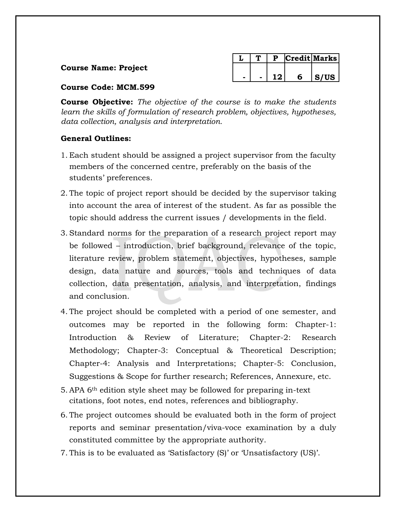# **Course Name: Project**

|  |  | redit Marks |
|--|--|-------------|
|  |  |             |
|  |  | S/US        |

# **Course Code: MCM.599**

**Course Objective:** *The objective of the course is to make the students learn the skills of formulation of research problem, objectives, hypotheses, data collection, analysis and interpretation.*

# **General Outlines:**

- 1. Each student should be assigned a project supervisor from the faculty members of the concerned centre, preferably on the basis of the students' preferences.
- 2. The topic of project report should be decided by the supervisor taking into account the area of interest of the student. As far as possible the topic should address the current issues / developments in the field.
- 3. Standard norms for the preparation of a research project report may be followed – introduction, brief background, relevance of the topic, literature review, problem statement, objectives, hypotheses, sample design, data nature and sources, tools and techniques of data collection, data presentation, analysis, and interpretation, findings and conclusion.
- 4. The project should be completed with a period of one semester, and outcomes may be reported in the following form: Chapter-1: Introduction & Review of Literature; Chapter-2: Research Methodology; Chapter-3: Conceptual & Theoretical Description; Chapter-4: Analysis and Interpretations; Chapter-5: Conclusion, Suggestions & Scope for further research; References, Annexure, etc.
- 5. APA 6th edition style sheet may be followed for preparing in-text citations, foot notes, end notes, references and bibliography.
- 6. The project outcomes should be evaluated both in the form of project reports and seminar presentation/viva-voce examination by a duly constituted committee by the appropriate authority.
- 7. This is to be evaluated as 'Satisfactory (S)' or 'Unsatisfactory (US)'.